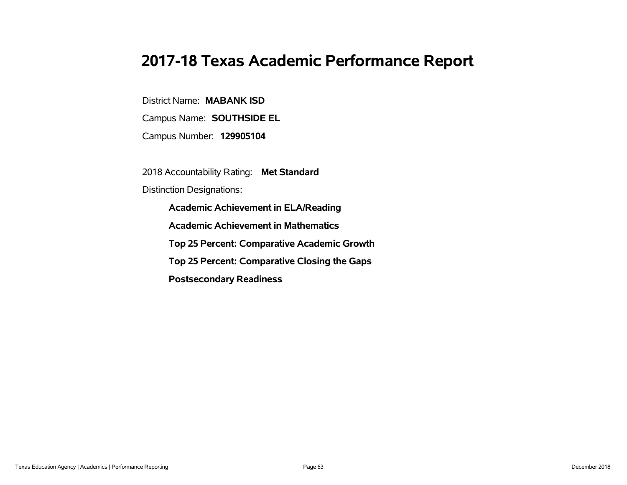### **2017-18 Texas Academic Performance Report**

District Name: **MABANK ISD**

Campus Name: **SOUTHSIDE EL**

Campus Number: **129905104**

2018 Accountability Rating: **Met Standard**

Distinction Designations:

**Academic Achievement in ELA/Reading**

**Academic Achievement in Mathematics**

**Top 25 Percent: Comparative Academic Growth**

**Top 25 Percent: Comparative Closing the Gaps**

**Postsecondary Readiness**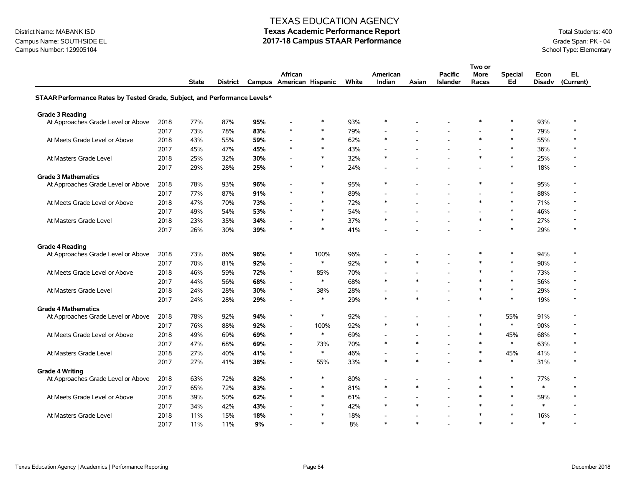### Campus Name: SOUTHSIDE EL **2017-18 Campus STAAR Performance** Grade Span: PK - 04<br>Campus Number: 129905104<br>School Type: Elementary Campus Number: 129905104

#### TEXAS EDUCATION AGENCY

|                                                                           |      |              |          |     |                          |        |       |                          |                          |                 | Two or         |                |               |           |
|---------------------------------------------------------------------------|------|--------------|----------|-----|--------------------------|--------|-------|--------------------------|--------------------------|-----------------|----------------|----------------|---------------|-----------|
|                                                                           |      |              |          |     | African                  |        |       | American                 |                          | <b>Pacific</b>  | More           | <b>Special</b> | Econ          | EL        |
|                                                                           |      | <b>State</b> | District |     | Campus American Hispanic |        | White | Indian                   | Asian                    | <b>Islander</b> | Races          | Ed             | <b>Disadv</b> | (Current) |
| STAAR Performance Rates by Tested Grade, Subject, and Performance Levels^ |      |              |          |     |                          |        |       |                          |                          |                 |                |                |               |           |
| <b>Grade 3 Reading</b>                                                    |      |              |          |     |                          |        |       |                          |                          |                 |                |                |               |           |
| At Approaches Grade Level or Above                                        | 2018 | 77%          | 87%      | 95% |                          | $\ast$ | 93%   | $\ast$                   |                          |                 | $\ast$         | $\ast$         | 93%           | $\ast$    |
|                                                                           | 2017 | 73%          | 78%      | 83% | $\ast$                   | $\ast$ | 79%   | $\overline{\phantom{a}}$ |                          |                 |                | $\ast$         | 79%           | $\ast$    |
| At Meets Grade Level or Above                                             | 2018 | 43%          | 55%      | 59% |                          | $\ast$ | 62%   | $\ast$                   |                          |                 | $\ast$         | $\star$        | 55%           | $\ast$    |
|                                                                           | 2017 | 45%          | 47%      | 45% | $\ast$                   | $\ast$ | 43%   | $\overline{a}$           |                          |                 |                | $\ast$         | 36%           | $\ast$    |
| At Masters Grade Level                                                    | 2018 | 25%          | 32%      | 30% |                          | $\ast$ | 32%   | $\ast$                   |                          |                 | $\ast$         | $\ast$         | 25%           | $\ast$    |
|                                                                           | 2017 | 29%          | 28%      | 25% | $\ast$                   | $\ast$ | 24%   | L,                       |                          |                 |                | $\ast$         | 18%           | $\ast$    |
| <b>Grade 3 Mathematics</b>                                                |      |              |          |     |                          |        |       |                          |                          |                 |                |                |               |           |
| At Approaches Grade Level or Above                                        | 2018 | 78%          | 93%      | 96% |                          | $\ast$ | 95%   | $\ast$                   |                          |                 | $\ast$         | $\ast$         | 95%           | $\ast$    |
|                                                                           | 2017 | 77%          | 87%      | 91% | $\ast$                   | $\ast$ | 89%   | $\overline{\phantom{a}}$ |                          |                 | $\blacksquare$ | $\ast$         | 88%           | $\ast$    |
| At Meets Grade Level or Above                                             | 2018 | 47%          | 70%      | 73% |                          | $\ast$ | 72%   | $\ast$                   |                          |                 | $\ast$         | $\ast$         | 71%           | $\ast$    |
|                                                                           | 2017 | 49%          | 54%      | 53% | $\ast$                   | $\ast$ | 54%   | $\blacksquare$           |                          |                 | $\blacksquare$ | $\ast$         | 46%           |           |
| At Masters Grade Level                                                    | 2018 | 23%          | 35%      | 34% |                          | $\ast$ | 37%   | $\ast$                   |                          |                 | $\ast$         | $\ast$         | 27%           | $\ast$    |
|                                                                           | 2017 | 26%          | 30%      | 39% | $\ast$                   | $\ast$ | 41%   |                          |                          |                 |                | $\ast$         | 29%           | $\ast$    |
| <b>Grade 4 Reading</b>                                                    |      |              |          |     |                          |        |       |                          |                          |                 |                |                |               |           |
| At Approaches Grade Level or Above                                        | 2018 | 73%          | 86%      | 96% | $\ast$                   | 100%   | 96%   |                          |                          |                 | $\ast$         | $\ast$         | 94%           | $\ast$    |
|                                                                           | 2017 | 70%          | 81%      | 92% |                          | $\ast$ | 92%   | $\ast$                   | $\ast$                   |                 | $\ast$         | $\ast$         | 90%           | $\ast$    |
| At Meets Grade Level or Above                                             | 2018 | 46%          | 59%      | 72% | $\ast$                   | 85%    | 70%   |                          |                          |                 | $\ast$         | $\ast$         | 73%           | $\ast$    |
|                                                                           | 2017 | 44%          | 56%      | 68% |                          | $\ast$ | 68%   | $\ast$                   | $\ast$                   |                 | $\ast$         | $\ast$         | 56%           | $\ast$    |
| At Masters Grade Level                                                    | 2018 | 24%          | 28%      | 30% | $\ast$                   | 38%    | 28%   | $\blacksquare$           |                          |                 | $\ast$         | $\ast$         | 29%           | $\ast$    |
|                                                                           | 2017 | 24%          | 28%      | 29% |                          | $\ast$ | 29%   | $\ast$                   | $\ast$                   |                 | $\ast$         | $\ast$         | 19%           | $\ast$    |
| <b>Grade 4 Mathematics</b>                                                |      |              |          |     |                          |        |       |                          |                          |                 |                |                |               |           |
| At Approaches Grade Level or Above                                        | 2018 | 78%          | 92%      | 94% | $\ast$                   | $\ast$ | 92%   | L,                       |                          |                 | $\ast$         | 55%            | 91%           | $\ast$    |
|                                                                           | 2017 | 76%          | 88%      | 92% |                          | 100%   | 92%   | $\ast$                   | $\ast$                   |                 | $\ast$         | $\ast$         | 90%           | $\ast$    |
| At Meets Grade Level or Above                                             | 2018 | 49%          | 69%      | 69% | $\ast$                   | $\ast$ | 69%   | $\overline{a}$           |                          |                 | $\ast$         | 45%            | 68%           | $\ast$    |
|                                                                           | 2017 | 47%          | 68%      | 69% |                          | 73%    | 70%   | $\ast$                   | $\ast$                   |                 | $\ast$         | $\ast$         | 63%           | $\ast$    |
| At Masters Grade Level                                                    | 2018 | 27%          | 40%      | 41% | $\ast$                   | $\ast$ | 46%   | ٠                        | $\overline{\phantom{a}}$ |                 | $\ast$         | 45%            | 41%           | $\ast$    |
|                                                                           | 2017 | 27%          | 41%      | 38% | $\blacksquare$           | 55%    | 33%   | $\ast$                   | $\ast$                   |                 | $\ast$         | $\ast$         | 31%           | $\ast$    |
| <b>Grade 4 Writing</b>                                                    |      |              |          |     |                          |        |       |                          |                          |                 |                |                |               |           |
| At Approaches Grade Level or Above                                        | 2018 | 63%          | 72%      | 82% | $\ast$                   | $\ast$ | 80%   | $\overline{\phantom{a}}$ |                          |                 | $\ast$         | $\ast$         | 77%           | $\ast$    |
|                                                                           | 2017 | 65%          | 72%      | 83% |                          | $\ast$ | 81%   | $\ast$                   | $\ast$                   |                 | $\ast$         | $\star$        | $\ast$        | $\ast$    |
| At Meets Grade Level or Above                                             | 2018 | 39%          | 50%      | 62% | $\ast$                   | $\ast$ | 61%   | $\overline{\phantom{a}}$ | $\overline{\phantom{a}}$ |                 | $\ast$         | $\ast$         | 59%           | $\ast$    |
|                                                                           | 2017 | 34%          | 42%      | 43% |                          | $\ast$ | 42%   | $\ast$                   | $\ast$                   |                 | $\ast$         | $\ast$         | $\ast$        | $\ast$    |
| At Masters Grade Level                                                    | 2018 | 11%          | 15%      | 18% |                          | $\ast$ | 18%   |                          |                          |                 | $\ast$         | $\ast$         | 16%           |           |
|                                                                           | 2017 | 11%          | 11%      | 9%  |                          | $\ast$ | 8%    | $\ast$                   | $\ast$                   |                 | $\ast$         | $\ast$         | $\ast$        | $\ast$    |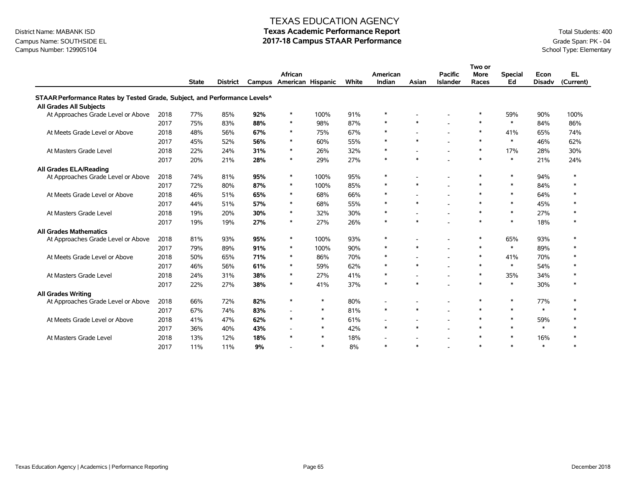### Campus Name: SOUTHSIDE EL **2017-18 Campus STAAR Performance** Grade Span: PK - 04<br>Campus Number: 129905104<br>School Type: Elementary Campus Number: 129905104

#### TEXAS EDUCATION AGENCY

|                                                                           |      |              |                 |     |                                     |        |       |                          |                          |                                   | Two or               |                      |                       |                        |
|---------------------------------------------------------------------------|------|--------------|-----------------|-----|-------------------------------------|--------|-------|--------------------------|--------------------------|-----------------------------------|----------------------|----------------------|-----------------------|------------------------|
|                                                                           |      | <b>State</b> | <b>District</b> |     | African<br>Campus American Hispanic |        | White | American<br>Indian       | Asian                    | <b>Pacific</b><br><b>Islander</b> | <b>More</b><br>Races | <b>Special</b><br>Ed | Econ<br><b>Disadv</b> | <b>EL</b><br>(Current) |
| STAAR Performance Rates by Tested Grade, Subject, and Performance Levels^ |      |              |                 |     |                                     |        |       |                          |                          |                                   |                      |                      |                       |                        |
| All Grades All Subjects                                                   |      |              |                 |     |                                     |        |       |                          |                          |                                   |                      |                      |                       |                        |
| At Approaches Grade Level or Above                                        | 2018 | 77%          | 85%             | 92% | $\ast$                              | 100%   | 91%   | $\ast$                   |                          |                                   | $\ast$               | 59%                  | 90%                   | 100%                   |
|                                                                           | 2017 | 75%          | 83%             | 88% | $\ast$                              | 98%    | 87%   | $\ast$                   | $\ast$                   |                                   | $\ast$               | $\ast$               | 84%                   | 86%                    |
| At Meets Grade Level or Above                                             | 2018 | 48%          | 56%             | 67% | $\ast$                              | 75%    | 67%   | $\ast$                   |                          | $\overline{a}$                    | $\ast$               | 41%                  | 65%                   | 74%                    |
|                                                                           | 2017 | 45%          | 52%             | 56% | $\ast$                              | 60%    | 55%   | $\ast$                   | $\ast$                   |                                   | $\ast$               | $\ast$               | 46%                   | 62%                    |
| At Masters Grade Level                                                    | 2018 | 22%          | 24%             | 31% | $\ast$                              | 26%    | 32%   | $\ast$                   |                          | $\blacksquare$                    | $\ast$               | 17%                  | 28%                   | 30%                    |
|                                                                           | 2017 | 20%          | 21%             | 28% | $\ast$                              | 29%    | 27%   | $\ast$                   | $\ast$                   |                                   | $\ast$               | $\ast$               | 21%                   | 24%                    |
| All Grades ELA/Reading                                                    |      |              |                 |     |                                     |        |       |                          |                          |                                   |                      |                      |                       |                        |
| At Approaches Grade Level or Above                                        | 2018 | 74%          | 81%             | 95% | $\ast$                              | 100%   | 95%   | $\ast$                   |                          | $\qquad \qquad \blacksquare$      | $\ast$               | $\ast$               | 94%                   | $\ast$                 |
|                                                                           | 2017 | 72%          | 80%             | 87% | $\ast$                              | 100%   | 85%   | $\ast$                   | $\ast$                   | $\overline{a}$                    | $\ast$               | $\ast$               | 84%                   |                        |
| At Meets Grade Level or Above                                             | 2018 | 46%          | 51%             | 65% | $\ast$                              | 68%    | 66%   | $\ast$                   |                          | $\overline{\phantom{a}}$          | $\ast$               | $\ast$               | 64%                   |                        |
|                                                                           | 2017 | 44%          | 51%             | 57% | $\ast$                              | 68%    | 55%   | $\ast$                   | $\ast$                   |                                   | $\ast$               | $\ast$               | 45%                   |                        |
| At Masters Grade Level                                                    | 2018 | 19%          | 20%             | 30% | $\ast$                              | 32%    | 30%   | $\ast$                   |                          | $\overline{\phantom{a}}$          | $\ast$               | $\ast$               | 27%                   | $\ast$                 |
|                                                                           | 2017 | 19%          | 19%             | 27% | $\ast$                              | 27%    | 26%   | $\ast$                   | $\ast$                   |                                   | $\ast$               | $\ast$               | 18%                   |                        |
| <b>All Grades Mathematics</b>                                             |      |              |                 |     |                                     |        |       |                          |                          |                                   |                      |                      |                       |                        |
| At Approaches Grade Level or Above                                        | 2018 | 81%          | 93%             | 95% | $\ast$                              | 100%   | 93%   | $\ast$                   |                          |                                   | $\ast$               | 65%                  | 93%                   |                        |
|                                                                           | 2017 | 79%          | 89%             | 91% | $\ast$                              | 100%   | 90%   | $\ast$                   | $\ast$                   |                                   | $\ast$               | $\ast$               | 89%                   |                        |
| At Meets Grade Level or Above                                             | 2018 | 50%          | 65%             | 71% | $\ast$                              | 86%    | 70%   | $\ast$                   |                          | $\qquad \qquad \blacksquare$      | $\ast$               | 41%                  | 70%                   |                        |
|                                                                           | 2017 | 46%          | 56%             | 61% | $\ast$                              | 59%    | 62%   | $\ast$                   | $\ast$                   | $\overline{\phantom{a}}$          | $\ast$               | $\ast$               | 54%                   |                        |
| At Masters Grade Level                                                    | 2018 | 24%          | 31%             | 38% | $\ast$                              | 27%    | 41%   | $\ast$                   | $\overline{\phantom{a}}$ | $\overline{\phantom{a}}$          | $\ast$               | 35%                  | 34%                   |                        |
|                                                                           | 2017 | 22%          | 27%             | 38% | $\ast$                              | 41%    | 37%   | $\ast$                   | $\ast$                   |                                   | $\ast$               | $\ast$               | 30%                   |                        |
| <b>All Grades Writing</b>                                                 |      |              |                 |     |                                     |        |       |                          |                          |                                   |                      |                      |                       |                        |
| At Approaches Grade Level or Above                                        | 2018 | 66%          | 72%             | 82% | $\ast$                              | $\ast$ | 80%   |                          |                          | $\overline{\phantom{a}}$          | $\ast$               | $\ast$               | 77%                   |                        |
|                                                                           | 2017 | 67%          | 74%             | 83% |                                     | $\ast$ | 81%   | $\ast$                   | $\ast$                   |                                   | $\ast$               | $\ast$               | $\ast$                |                        |
| At Meets Grade Level or Above                                             | 2018 | 41%          | 47%             | 62% | $\ast$                              | $\ast$ | 61%   | $\overline{\phantom{a}}$ | $\overline{\phantom{a}}$ | $\overline{\phantom{a}}$          | $\ast$               | $\ast$               | 59%                   |                        |
|                                                                           | 2017 | 36%          | 40%             | 43% |                                     | $\ast$ | 42%   | $\ast$                   | $\ast$                   |                                   | $\ast$               | $\ast$               | $\ast$                |                        |
| At Masters Grade Level                                                    | 2018 | 13%          | 12%             | 18% | $\ast$                              | $\ast$ | 18%   |                          |                          | $\overline{\phantom{a}}$          | $\ast$               | $\ast$               | 16%                   |                        |
|                                                                           | 2017 | 11%          | 11%             | 9%  |                                     | $\ast$ | 8%    | $\ast$                   | $\ast$                   |                                   | $\ast$               | $\ast$               | $\ast$                | $\ast$                 |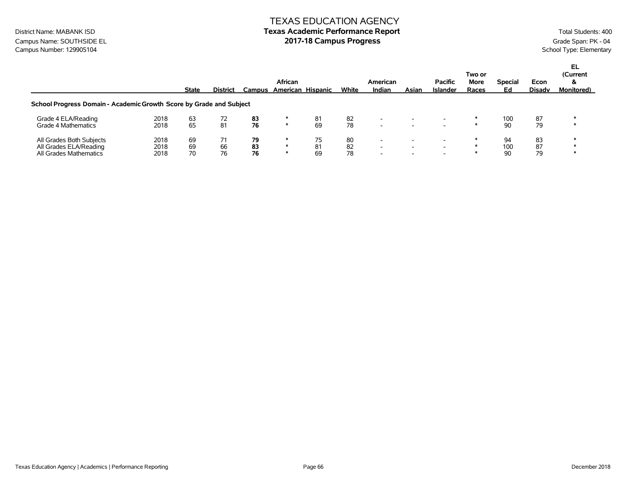### TEXAS EDUCATION AGENCY District Name: MABANK ISD **Texas Academic Performance Report Texas Academic Performance Report** Total Students: 400

Campus Name: SOUTHSIDE EL **2017-18 Campus Progress** Campus Progress Campus Progress Campus Number: 129905104<br>Campus Number: 129905104 School Type: Elementary Campus Number: 129905104

|                                                                     |              | State    | <b>District</b> | Campus   | African | American Hispanic | White    | American<br>Indian                                   | Asian                    | <b>Pacific</b><br><b>Islander</b> | Two or<br><b>More</b><br>Races | <b>Special</b><br>Ed | Econ<br>Disady | EL<br>(Current<br>&<br><b>Monitored</b> ) |
|---------------------------------------------------------------------|--------------|----------|-----------------|----------|---------|-------------------|----------|------------------------------------------------------|--------------------------|-----------------------------------|--------------------------------|----------------------|----------------|-------------------------------------------|
| School Progress Domain - Academic Growth Score by Grade and Subject |              |          |                 |          |         |                   |          |                                                      |                          |                                   |                                |                      |                |                                           |
| Grade 4 ELA/Reading<br>Grade 4 Mathematics                          | 2018<br>2018 | 63<br>65 | 72<br>81        | 83<br>76 | ∗       | 81<br>69          | 82<br>78 | $\overline{\phantom{0}}$<br>$\overline{\phantom{0}}$ | $\overline{\phantom{a}}$ |                                   |                                | 100<br>90            | 87<br>79       |                                           |
| All Grades Both Subjects<br>All Grades ELA/Reading                  | 2018<br>2018 | 69<br>69 | 66              | 79<br>83 | ж       | 75<br>81          | 80<br>82 | $\overline{\phantom{0}}$<br>$\overline{\phantom{0}}$ | $\overline{\phantom{0}}$ |                                   |                                | 94<br>100            | 83<br>87       |                                           |
| All Grades Mathematics                                              | 2018         | 70       | 76              | 76       |         | 69                | 78       | $\overline{\phantom{0}}$                             |                          |                                   |                                | 90                   | 79             |                                           |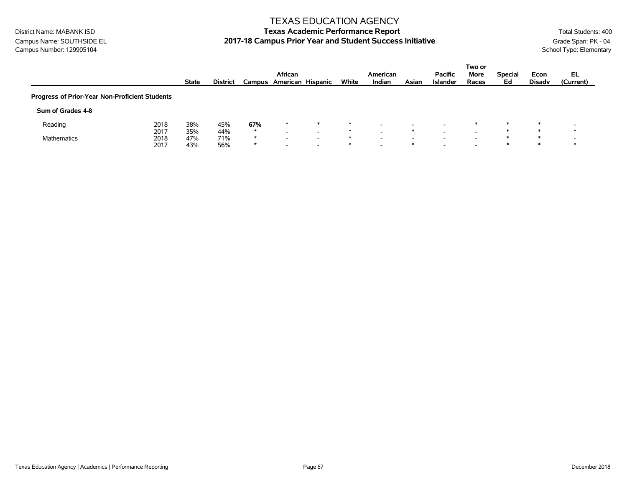Campus Name: SOUTHSIDE EL **2017-18 Campus Prior Year and Student Success Initiative** Grade Span: PK - 04<br>Campus Number: 129905104 School Type: Elementary Campus Number: 129905104

#### TEXAS EDUCATION AGENCY

|                                                |      |              |                 |         |                          |                          |       |                          |       |                 | Two or |                |               |           |
|------------------------------------------------|------|--------------|-----------------|---------|--------------------------|--------------------------|-------|--------------------------|-------|-----------------|--------|----------------|---------------|-----------|
|                                                |      |              |                 |         | African                  |                          |       | American                 |       | <b>Pacific</b>  | More   | <b>Special</b> | Econ          | EL        |
|                                                |      | <b>State</b> | <b>District</b> |         | Campus American Hispanic |                          | White | Indian                   | Asian | <b>Islander</b> | Races  | Ed             | <b>Disady</b> | (Current) |
| Progress of Prior-Year Non-Proficient Students |      |              |                 |         |                          |                          |       |                          |       |                 |        |                |               |           |
| Sum of Grades 4-8                              |      |              |                 |         |                          |                          |       |                          |       |                 |        |                |               |           |
| Reading                                        | 2018 | 38%          | 45%             | 67%     | $\ast$                   | $\ast$                   | ∗     |                          |       |                 | $\ast$ | $\star$        | $\ast$        |           |
|                                                | 2017 | 35%          | 44%             | $\star$ | -                        |                          | ∗     |                          |       |                 |        |                |               |           |
| Mathematics                                    | 2018 | 47%          | 71%             | *       | $\overline{\phantom{0}}$ | -                        | ∗     | $\overline{\phantom{0}}$ |       |                 |        | ж              |               |           |
|                                                | 2017 | 43%          | 56%             | $\star$ | $\overline{\phantom{0}}$ | $\overline{\phantom{0}}$ | ∗     | $\overline{\phantom{0}}$ |       |                 | -      |                |               |           |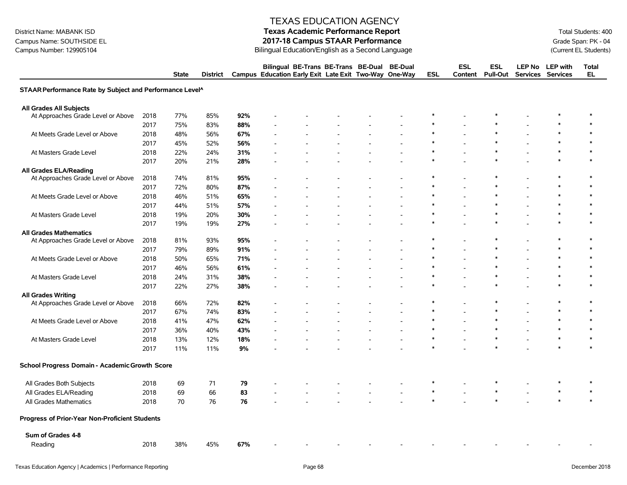Campus Name: SOUTHSIDE EL **2017-18 Campus STAAR Performance**<br>2017-18 Campus STAAR Performance<br>Bilingual Education/English as a Second Language Campus Number: 129905104 (Current EL Students)

#### TEXAS EDUCATION AGENCY

# District Name: MABANK ISD **Texas Academic Performance Report Texas Academic Performance Report** Total Students: 400

Bilingual Education/English as a Second Language

|                                                          | <b>State</b> |     | <b>District</b> |     | Bilingual BE-Trans BE-Trans BE-Dual<br>Campus Education Early Exit Late Exit Two-Way One-Way |  | <b>BE-Dual</b> | <b>ESL</b> | <b>ESL</b><br>Content | <b>ESL</b><br><b>Pull-Out</b> | <b>Services Services</b> | LEP No LEP with | <b>Total</b><br><b>EL</b> |
|----------------------------------------------------------|--------------|-----|-----------------|-----|----------------------------------------------------------------------------------------------|--|----------------|------------|-----------------------|-------------------------------|--------------------------|-----------------|---------------------------|
| STAAR Performance Rate by Subject and Performance Level^ |              |     |                 |     |                                                                                              |  |                |            |                       |                               |                          |                 |                           |
| <b>All Grades All Subjects</b>                           |              |     |                 |     |                                                                                              |  |                |            |                       |                               |                          |                 |                           |
| 2018<br>At Approaches Grade Level or Above               | 77%          |     | 85%             | 92% |                                                                                              |  |                |            |                       |                               |                          |                 | ∗                         |
| 2017                                                     | 75%          |     | 83%             | 88% |                                                                                              |  |                |            |                       |                               |                          |                 |                           |
| 2018<br>At Meets Grade Level or Above                    | 48%          |     | 56%             | 67% |                                                                                              |  |                |            |                       |                               |                          |                 |                           |
| 2017                                                     | 45%          |     | 52%             | 56% |                                                                                              |  |                | $\ast$     |                       |                               |                          |                 |                           |
| At Masters Grade Level<br>2018                           | 22%          |     | 24%             | 31% |                                                                                              |  |                |            |                       |                               |                          | $\ast$          |                           |
| 2017                                                     | 20%          |     | 21%             | 28% |                                                                                              |  |                |            |                       |                               |                          |                 |                           |
| <b>All Grades ELA/Reading</b>                            |              |     |                 |     |                                                                                              |  |                |            |                       |                               |                          |                 |                           |
| 2018<br>At Approaches Grade Level or Above               | 74%          |     | 81%             | 95% |                                                                                              |  |                | $\ast$     |                       | $\ast$                        |                          | $\ast$          | $\ast$                    |
| 2017                                                     | 72%          |     | 80%             | 87% |                                                                                              |  |                |            |                       |                               |                          |                 |                           |
| At Meets Grade Level or Above<br>2018                    | 46%          |     | 51%             | 65% |                                                                                              |  |                | $\ast$     |                       | $\ast$                        |                          | $\ast$          | $\ast$                    |
| 2017                                                     | 44%          |     | 51%             | 57% |                                                                                              |  |                | $\ast$     |                       | $\ast$                        |                          | $\ast$          |                           |
| At Masters Grade Level<br>2018                           | 19%          |     | 20%             | 30% |                                                                                              |  |                | $\ast$     |                       | $\ast$                        |                          | $\ast$          | $\ast$                    |
| 2017                                                     | 19%          |     | 19%             | 27% |                                                                                              |  |                |            |                       |                               |                          |                 |                           |
| <b>All Grades Mathematics</b>                            |              |     |                 |     |                                                                                              |  |                |            |                       |                               |                          |                 |                           |
| 2018<br>At Approaches Grade Level or Above               | 81%          |     | 93%             | 95% |                                                                                              |  |                | $\ast$     |                       | $\ast$                        |                          | $\ast$          | $\ast$                    |
| 2017                                                     | 79%          |     | 89%             | 91% |                                                                                              |  |                | $\ast$     |                       |                               |                          | $\ast$          | $\ast$                    |
| At Meets Grade Level or Above<br>2018                    | 50%          |     | 65%             | 71% |                                                                                              |  |                | $\ast$     |                       | $\ast$                        |                          | $\ast$          | $\ast$                    |
| 2017                                                     | 46%          |     | 56%             | 61% |                                                                                              |  |                | $\ast$     |                       | $\ast$                        |                          | $\ast$          | $\ast$                    |
| At Masters Grade Level<br>2018                           | 24%          |     | 31%             | 38% |                                                                                              |  |                | $\ast$     |                       | $\ast$                        |                          | $\ast$          | $\ast$                    |
| 2017                                                     | 22%          |     | 27%             | 38% |                                                                                              |  |                |            |                       |                               |                          | $\ast$          | $\ast$                    |
| <b>All Grades Writing</b>                                |              |     |                 |     |                                                                                              |  |                |            |                       |                               |                          |                 |                           |
| 2018<br>At Approaches Grade Level or Above               |              | 66% | 72%             | 82% |                                                                                              |  |                | $\ast$     |                       | $\ast$                        |                          | $\ast$          | $\ast$                    |
| 2017                                                     | 67%          |     | 74%             | 83% |                                                                                              |  |                |            |                       |                               |                          |                 | $\ast$                    |
| 2018<br>At Meets Grade Level or Above                    | 41%          |     | 47%             | 62% |                                                                                              |  |                |            |                       |                               |                          |                 |                           |
| 2017                                                     | 36%          |     | 40%             | 43% |                                                                                              |  |                | $\ast$     |                       | $\ast$                        |                          | $\ast$          |                           |
| At Masters Grade Level<br>2018                           | 13%          |     | 12%             | 18% |                                                                                              |  |                | $\ast$     |                       | $\ast$                        |                          | $\ast$          | $\ast$                    |
| 2017                                                     | 11%          |     | 11%             | 9%  |                                                                                              |  |                |            |                       |                               |                          | $\ast$          | $\ast$                    |
| School Progress Domain - Academic Growth Score           |              |     |                 |     |                                                                                              |  |                |            |                       |                               |                          |                 |                           |
| All Grades Both Subjects<br>2018                         | 69           |     | 71              | 79  |                                                                                              |  |                |            |                       |                               |                          |                 |                           |
| 2018<br>All Grades ELA/Reading                           | 69           |     | 66              | 83  |                                                                                              |  |                | $\ast$     |                       | $\ast$                        |                          | $\ast$          | $\ast$                    |
| All Grades Mathematics<br>2018                           | 70           |     | 76              | 76  |                                                                                              |  |                |            |                       |                               |                          |                 |                           |
| Progress of Prior-Year Non-Proficient Students           |              |     |                 |     |                                                                                              |  |                |            |                       |                               |                          |                 |                           |
| Sum of Grades 4-8                                        |              |     |                 |     |                                                                                              |  |                |            |                       |                               |                          |                 |                           |
| 2018<br>Reading                                          |              | 38% | 45%             | 67% |                                                                                              |  |                |            |                       |                               |                          |                 |                           |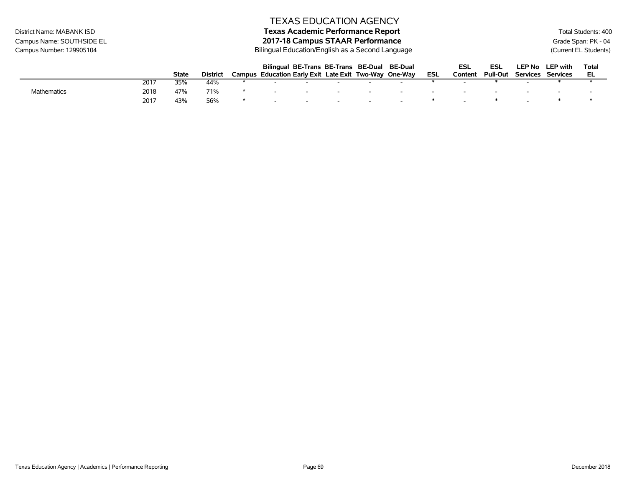# District Name: MABANK ISD **Texas Academic Performance Report Texas Academic Performance Report** Total Students: 400

Bilingual Education/English as a Second Language

|                    |      |       |          |        | Bilingual BE-Trans BE-Trans BE-Dual BE-Dual    |        |        |     | ESL     | ESL             |          | LEP No LEP with | Total |
|--------------------|------|-------|----------|--------|------------------------------------------------|--------|--------|-----|---------|-----------------|----------|-----------------|-------|
|                    |      | State | District | Campus | Education Early Exit Late Exit Two-Way One-Way |        |        | ESL | Content | <b>Pull-Out</b> | Services | Services        |       |
|                    | 2017 | 35%   | 44%      |        |                                                |        |        |     |         |                 |          |                 |       |
| <b>Mathematics</b> | 2018 | 47%   | 71%      |        |                                                | -      | -      |     |         |                 |          |                 |       |
|                    | 2017 | 43%   | 56%      |        |                                                | $\sim$ | $\sim$ |     |         |                 |          |                 |       |

Campus Name: SOUTHSIDE EL **2017-18 Campus STAAR Performance**<br>2017-18 Campus STAAR Performance<br>Bilingual Education/English as a Second Language Campus Number: 129905104 (Current EL Students)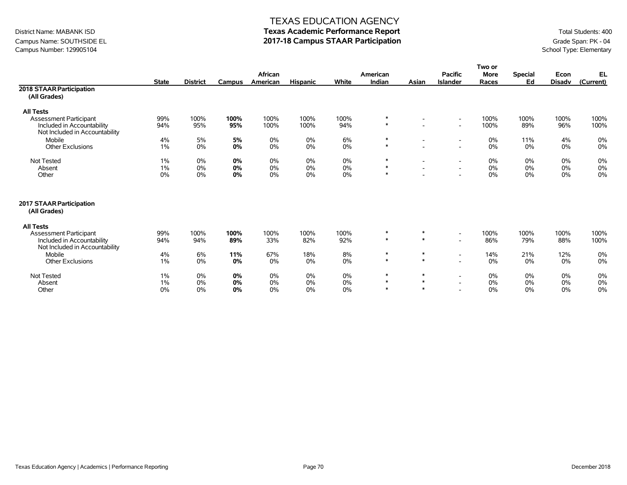### Campus Name: SOUTHSIDE EL **2017-18 Campus STAAR Participation**<br>Campus Number: 129905104 School Type: Elementary Campus Number: 129905104

#### TEXAS EDUCATION AGENCY

|                                                              |              |                 |        |          |                 |       |          |                          |                          | Two or      |                |               |           |
|--------------------------------------------------------------|--------------|-----------------|--------|----------|-----------------|-------|----------|--------------------------|--------------------------|-------------|----------------|---------------|-----------|
|                                                              |              |                 |        | African  |                 |       | American |                          | <b>Pacific</b>           | <b>More</b> | <b>Special</b> | Econ          | EL        |
|                                                              | <b>State</b> | <b>District</b> | Campus | American | <b>Hispanic</b> | White | Indian   | Asian                    | <b>Islander</b>          | Races       | Ed             | <b>Disadv</b> | (Current) |
| 2018 STAAR Participation                                     |              |                 |        |          |                 |       |          |                          |                          |             |                |               |           |
| (All Grades)                                                 |              |                 |        |          |                 |       |          |                          |                          |             |                |               |           |
| <b>All Tests</b>                                             |              |                 |        |          |                 |       |          |                          |                          |             |                |               |           |
| <b>Assessment Participant</b>                                | 99%          | 100%            | 100%   | 100%     | 100%            | 100%  | $\ast$   | $\overline{\phantom{a}}$ | $\overline{\phantom{a}}$ | 100%        | 100%           | 100%          | 100%      |
| Included in Accountability<br>Not Included in Accountability | 94%          | 95%             | 95%    | 100%     | 100%            | 94%   | $\ast$   |                          | $\overline{\phantom{a}}$ | 100%        | 89%            | 96%           | 100%      |
| Mobile                                                       | 4%           | 5%              | 5%     | 0%       | $0\%$           | 6%    | $\ast$   | $\overline{\phantom{a}}$ | $\overline{\phantom{a}}$ | 0%          | 11%            | 4%            | 0%        |
| <b>Other Exclusions</b>                                      | 1%           | 0%              | 0%     | 0%       | $0\%$           | 0%    | $\ast$   |                          | $\overline{\phantom{a}}$ | 0%          | 0%             | 0%            | 0%        |
| <b>Not Tested</b>                                            | $1\%$        | 0%              | 0%     | 0%       | $0\%$           | 0%    | ∗        | $\overline{\phantom{a}}$ | $\overline{\phantom{a}}$ | $0\%$       | 0%             | 0%            | 0%        |
| Absent                                                       | $1\%$        | 0%              | 0%     | 0%       | 0%              | 0%    | $\ast$   | $\sim$                   | $\overline{\phantom{a}}$ | 0%          | 0%             | 0%            | $0\%$     |
| Other                                                        | 0%           | 0%              | 0%     | 0%       | $0\%$           | 0%    | $\ast$   | $\overline{\phantom{a}}$ | $\overline{\phantom{a}}$ | 0%          | 0%             | 0%            | 0%        |
| 2017 STAAR Participation<br>(All Grades)                     |              |                 |        |          |                 |       |          |                          |                          |             |                |               |           |
| <b>All Tests</b>                                             |              |                 |        |          |                 |       |          |                          |                          |             |                |               |           |
| <b>Assessment Participant</b>                                | 99%          | 100%            | 100%   | 100%     | 100%            | 100%  | $\ast$   | $\ast$                   | $\overline{\phantom{a}}$ | 100%        | 100%           | 100%          | 100%      |
| Included in Accountability<br>Not Included in Accountability | 94%          | 94%             | 89%    | 33%      | 82%             | 92%   | $*$      | $\ast$                   | $\overline{\phantom{a}}$ | 86%         | 79%            | 88%           | 100%      |
| Mobile                                                       | 4%           | 6%              | 11%    | 67%      | 18%             | 8%    | $\ast$   | $\ast$                   | $\overline{\phantom{a}}$ | 14%         | 21%            | 12%           | $0\%$     |
| <b>Other Exclusions</b>                                      | 1%           | 0%              | 0%     | 0%       | $0\%$           | $0\%$ | $\ast$   | $\ast$                   | $\overline{\phantom{a}}$ | 0%          | 0%             | 0%            | 0%        |
| <b>Not Tested</b>                                            | 1%           | 0%              | 0%     | 0%       | $0\%$           | 0%    | $\ast$   | $\ast$                   | $\overline{\phantom{a}}$ | $0\%$       | 0%             | 0%            | 0%        |
| Absent                                                       | 1%           | 0%              | 0%     | 0%       | 0%              | 0%    | $\ast$   | $\ast$                   | $\overline{\phantom{a}}$ | 0%          | 0%             | 0%            | 0%        |
| Other                                                        | 0%           | 0%              | 0%     | 0%       | $0\%$           | 0%    | $\ast$   | $\ast$                   |                          | 0%          | 0%             | 0%            | 0%        |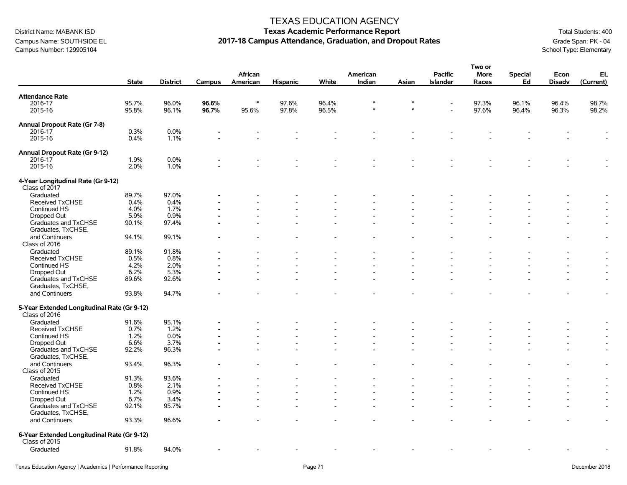### Campus Name: SOUTHSIDE EL **2017-18 Campus Attendance, Graduation, and Dropout Rates** Grade Span: PK - 04<br>Campus Number: 129905104 School Type: Elementary Campus Number: 129905104

#### TEXAS EDUCATION AGENCY

|                                                              |              |                 |        |          |                 |       |          |        |                 | Two or      |                |               |                          |
|--------------------------------------------------------------|--------------|-----------------|--------|----------|-----------------|-------|----------|--------|-----------------|-------------|----------------|---------------|--------------------------|
|                                                              |              |                 |        | African  |                 |       | American |        | <b>Pacific</b>  | <b>More</b> | <b>Special</b> | Econ          | EL                       |
|                                                              | <b>State</b> | <b>District</b> | Campus | American | <b>Hispanic</b> | White | Indian   | Asian  | <b>Islander</b> | Races       | Ed             | <b>Disadv</b> | (Current)                |
| <b>Attendance Rate</b>                                       |              |                 |        |          |                 |       |          |        |                 |             |                |               |                          |
| 2016-17                                                      | 95.7%        | 96.0%           | 96.6%  | $\ast$   | 97.6%           | 96.4% |          | *      |                 | 97.3%       | 96.1%          | 96.4%         | 98.7%                    |
| 2015-16                                                      | 95.8%        | 96.1%           | 96.7%  | 95.6%    | 97.8%           | 96.5% |          | $\ast$ |                 | 97.6%       | 96.4%          | 96.3%         | 98.2%                    |
|                                                              |              |                 |        |          |                 |       |          |        |                 |             |                |               |                          |
| Annual Dropout Rate (Gr 7-8)<br>2016-17                      | 0.3%         | 0.0%            |        |          |                 |       |          |        |                 |             |                |               |                          |
|                                                              |              |                 |        |          |                 |       |          |        |                 |             |                |               |                          |
| 2015-16                                                      | 0.4%         | 1.1%            |        |          |                 |       |          |        |                 |             |                |               | $\overline{\phantom{a}}$ |
| Annual Dropout Rate (Gr 9-12)                                |              |                 |        |          |                 |       |          |        |                 |             |                |               |                          |
| 2016-17                                                      | 1.9%         | 0.0%            |        |          |                 |       |          |        |                 |             |                |               |                          |
| 2015-16                                                      | 2.0%         | 1.0%            |        |          |                 |       |          |        |                 |             |                |               |                          |
| 4-Year Longitudinal Rate (Gr 9-12)<br>Class of 2017          |              |                 |        |          |                 |       |          |        |                 |             |                |               |                          |
| Graduated                                                    | 89.7%        | 97.0%           |        |          |                 |       |          |        |                 |             |                |               |                          |
| <b>Received TxCHSE</b>                                       | 0.4%         | 0.4%            |        |          |                 |       |          |        |                 |             |                |               |                          |
| Continued HS                                                 | 4.0%         | 1.7%            |        |          |                 |       |          |        |                 |             |                |               |                          |
| Dropped Out                                                  | 5.9%         | 0.9%            |        |          |                 |       |          |        |                 |             |                |               |                          |
| Graduates and TxCHSE                                         | 90.1%        | 97.4%           |        |          |                 |       |          |        |                 |             |                |               |                          |
| Graduates, TxCHSE,                                           |              |                 |        |          |                 |       |          |        |                 |             |                |               |                          |
| and Continuers                                               | 94.1%        | 99.1%           |        |          |                 |       |          |        |                 |             |                |               | $\overline{\phantom{a}}$ |
| Class of 2016                                                |              |                 |        |          |                 |       |          |        |                 |             |                |               |                          |
| Graduated                                                    | 89.1%        | 91.8%           |        |          |                 |       |          |        |                 |             |                | ۰             | $\blacksquare$           |
| Received TxCHSE                                              | 0.5%         | 0.8%            |        |          |                 |       |          |        |                 |             |                |               | $\overline{\phantom{a}}$ |
| Continued HS                                                 | 4.2%         | 2.0%            |        |          |                 |       |          |        |                 |             |                |               |                          |
| Dropped Out                                                  | 6.2%         | 5.3%            |        |          |                 |       |          |        |                 |             |                |               |                          |
|                                                              | 89.6%        | 92.6%           |        |          |                 |       |          |        |                 |             |                |               | $\overline{\phantom{a}}$ |
| Graduates and TxCHSE<br>Graduates, TxCHSE,                   |              |                 |        |          |                 |       |          |        |                 |             |                |               |                          |
| and Continuers                                               | 93.8%        | 94.7%           |        |          |                 |       |          |        |                 |             |                |               | $\overline{a}$           |
| 5-Year Extended Longitudinal Rate (Gr 9-12)<br>Class of 2016 |              |                 |        |          |                 |       |          |        |                 |             |                |               |                          |
| Graduated                                                    | 91.6%        | 95.1%           |        |          |                 |       |          |        |                 |             |                |               |                          |
| Received TxCHSE                                              | 0.7%         | 1.2%            |        |          |                 |       |          |        |                 |             |                |               |                          |
| Continued HS                                                 | 1.2%         | 0.0%            |        |          |                 |       |          |        |                 |             |                |               |                          |
| Dropped Out                                                  | 6.6%         | 3.7%            |        |          |                 |       |          |        |                 |             |                |               |                          |
| Graduates and TxCHSE<br>Graduates, TxCHSE,                   | 92.2%        | 96.3%           |        |          |                 |       |          |        |                 |             |                |               | $\overline{a}$           |
| and Continuers                                               | 93.4%        | 96.3%           |        |          |                 |       |          |        |                 |             |                |               | $\overline{\phantom{a}}$ |
| Class of 2015                                                |              |                 |        |          |                 |       |          |        |                 |             |                |               |                          |
| Graduated                                                    | 91.3%        | 93.6%           |        |          |                 |       |          |        |                 |             |                |               | $\overline{\phantom{a}}$ |
| Received TxCHSE                                              | 0.8%         | 2.1%            |        |          |                 |       |          |        |                 |             |                |               | $\overline{a}$           |
| Continued HS                                                 | 1.2%         | 0.9%            |        |          |                 |       |          |        |                 |             |                |               | $\blacksquare$           |
| Dropped Out                                                  | 6.7%         | 3.4%            |        |          |                 |       |          |        |                 |             |                |               | $\overline{\phantom{a}}$ |
| Graduates and TxCHSE                                         | 92.1%        | 95.7%           |        |          |                 |       |          |        |                 |             |                |               | $\overline{a}$           |
| Graduates, TxCHSE,                                           |              |                 |        |          |                 |       |          |        |                 |             |                |               |                          |
| and Continuers                                               | 93.3%        | 96.6%           |        |          |                 |       |          |        |                 |             |                |               | $\overline{\phantom{a}}$ |
| 6-Year Extended Longitudinal Rate (Gr 9-12)<br>Class of 2015 |              |                 |        |          |                 |       |          |        |                 |             |                |               |                          |
| Graduated                                                    | 91.8%        | 94.0%           |        |          |                 |       |          |        |                 |             |                |               |                          |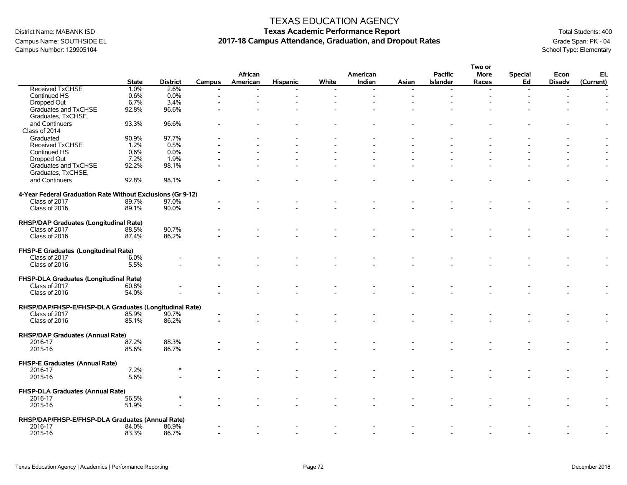### Campus Name: SOUTHSIDE EL **2017-18 Campus Attendance, Graduation, and Dropout Rates** Grade Span: PK - 04<br>Campus Number: 129905104 School Type: Elementary Campus Number: 129905104

#### TEXAS EDUCATION AGENCY

# District Name: MABANK ISD **Texas Academic Performance Report Texas Academic Performance Report** Total Students: 400

**Two or**

|                                                             |              |                 |                |                |                 |       |          |                |                 | <b>I WO OF</b>           |                |                |           |
|-------------------------------------------------------------|--------------|-----------------|----------------|----------------|-----------------|-------|----------|----------------|-----------------|--------------------------|----------------|----------------|-----------|
|                                                             |              |                 |                | African        |                 |       | American |                | <b>Pacific</b>  | More                     | <b>Special</b> | Econ           | EL        |
|                                                             | <b>State</b> | <b>District</b> | <b>Campus</b>  | American       | <b>Hispanic</b> | White | Indian   | Asian          | <b>Islander</b> | Races                    | Ed             | <b>Disadv</b>  | (Current) |
| Received TxCHSE                                             | 1.0%         | 2.6%            | $\blacksquare$ | $\overline{a}$ |                 |       |          | $\overline{a}$ | $\overline{a}$  | $\overline{\phantom{a}}$ | $\overline{a}$ | $\blacksquare$ |           |
| Continued HS                                                | 0.6%         | 0.0%            |                |                |                 |       |          |                |                 |                          |                |                |           |
| Dropped Out                                                 | 6.7%         | 3.4%            |                |                |                 |       |          |                |                 |                          |                |                |           |
|                                                             | 92.8%        | 96.6%           |                |                |                 |       |          |                |                 |                          |                |                |           |
| Graduates and TxCHSE                                        |              |                 |                |                |                 |       |          |                |                 |                          |                |                |           |
| Graduates, TxCHSE,                                          |              |                 |                |                |                 |       |          |                |                 |                          |                |                |           |
| and Continuers                                              | 93.3%        | 96.6%           |                |                |                 |       |          |                |                 |                          |                |                |           |
| Class of 2014                                               |              |                 |                |                |                 |       |          |                |                 |                          |                |                |           |
| Graduated                                                   | 90.9%        | 97.7%           |                |                |                 |       |          |                |                 |                          |                |                |           |
| Received TxCHSE                                             | 1.2%         | 0.5%            |                |                |                 |       |          |                |                 |                          |                |                |           |
| Continued HS                                                | 0.6%         | 0.0%            |                |                |                 |       |          |                |                 |                          |                |                |           |
| Dropped Out                                                 | 7.2%         | 1.9%            |                |                |                 |       |          |                |                 |                          |                |                |           |
| Graduates and TxCHSE                                        | 92.2%        | 98.1%           |                |                |                 |       |          |                |                 |                          |                |                |           |
| Graduates, TxCHSE,                                          |              |                 |                |                |                 |       |          |                |                 |                          |                |                |           |
|                                                             |              |                 |                |                |                 |       |          |                |                 |                          |                |                |           |
| and Continuers                                              | 92.8%        | 98.1%           |                |                |                 |       |          |                |                 |                          |                |                |           |
|                                                             |              |                 |                |                |                 |       |          |                |                 |                          |                |                |           |
| 4-Year Federal Graduation Rate Without Exclusions (Gr 9-12) |              |                 |                |                |                 |       |          |                |                 |                          |                |                |           |
| Class of 2017                                               | 89.7%        | 97.0%           |                |                |                 |       |          |                |                 |                          |                |                |           |
| Class of 2016                                               | 89.1%        | 90.0%           |                |                |                 |       |          |                |                 |                          |                |                |           |
|                                                             |              |                 |                |                |                 |       |          |                |                 |                          |                |                |           |
| RHSP/DAP Graduates (Longitudinal Rate)                      |              |                 |                |                |                 |       |          |                |                 |                          |                |                |           |
| Class of 2017                                               | 88.5%        | 90.7%           |                |                |                 |       |          |                |                 |                          |                |                |           |
| Class of 2016                                               | 87.4%        | 86.2%           |                |                |                 |       |          |                |                 |                          |                |                |           |
|                                                             |              |                 |                |                |                 |       |          |                |                 |                          |                |                |           |
| FHSP-E Graduates (Longitudinal Rate)                        |              |                 |                |                |                 |       |          |                |                 |                          |                |                |           |
| Class of 2017                                               | 6.0%         |                 |                |                |                 |       |          |                |                 |                          |                |                |           |
| Class of 2016                                               | 5.5%         |                 |                |                |                 |       |          |                |                 |                          |                |                |           |
|                                                             |              |                 |                |                |                 |       |          |                |                 |                          |                |                |           |
|                                                             |              |                 |                |                |                 |       |          |                |                 |                          |                |                |           |
| FHSP-DLA Graduates (Longitudinal Rate)                      |              |                 |                |                |                 |       |          |                |                 |                          |                |                |           |
| Class of 2017                                               | 60.8%        |                 |                |                |                 |       |          |                |                 |                          |                |                |           |
| Class of 2016                                               | 54.0%        |                 |                |                |                 |       |          |                |                 |                          |                |                |           |
|                                                             |              |                 |                |                |                 |       |          |                |                 |                          |                |                |           |
| RHSP/DAP/FHSP-E/FHSP-DLA Graduates (Longitudinal Rate)      |              |                 |                |                |                 |       |          |                |                 |                          |                |                |           |
| Class of 2017                                               | 85.9%        | 90.7%           |                |                |                 |       |          |                |                 |                          |                |                |           |
| Class of 2016                                               | 85.1%        | 86.2%           |                |                |                 |       |          |                |                 |                          |                |                |           |
|                                                             |              |                 |                |                |                 |       |          |                |                 |                          |                |                |           |
| RHSP/DAP Graduates (Annual Rate)                            |              |                 |                |                |                 |       |          |                |                 |                          |                |                |           |
| 2016-17                                                     | 87.2%        | 88.3%           |                |                |                 |       |          |                |                 |                          |                |                |           |
| 2015-16                                                     | 85.6%        | 86.7%           |                |                |                 |       |          |                |                 |                          |                |                |           |
|                                                             |              |                 |                |                |                 |       |          |                |                 |                          |                |                |           |
| FHSP-E Graduates (Annual Rate)                              |              |                 |                |                |                 |       |          |                |                 |                          |                |                |           |
| 2016-17                                                     | 7.2%         |                 |                |                |                 |       |          |                |                 |                          |                |                |           |
| 2015-16                                                     | 5.6%         |                 |                |                |                 |       |          |                |                 |                          |                |                |           |
|                                                             |              |                 |                |                |                 |       |          |                |                 |                          |                |                |           |
| FHSP-DLA Graduates (Annual Rate)                            |              |                 |                |                |                 |       |          |                |                 |                          |                |                |           |
|                                                             |              |                 |                |                |                 |       |          |                |                 |                          |                |                |           |
| 2016-17                                                     | 56.5%        |                 |                |                |                 |       |          |                |                 |                          |                |                |           |
| 2015-16                                                     | 51.9%        |                 |                |                |                 |       |          |                |                 |                          |                |                |           |
|                                                             |              |                 |                |                |                 |       |          |                |                 |                          |                |                |           |
| RHSP/DAP/FHSP-E/FHSP-DLA Graduates (Annual Rate)            |              |                 |                |                |                 |       |          |                |                 |                          |                |                |           |
| 2016-17                                                     | 84.0%        | 86.9%           |                |                |                 |       |          |                |                 |                          |                |                |           |
| 2015-16                                                     | 83.3%        | 86.7%           |                |                |                 |       |          |                |                 |                          |                |                |           |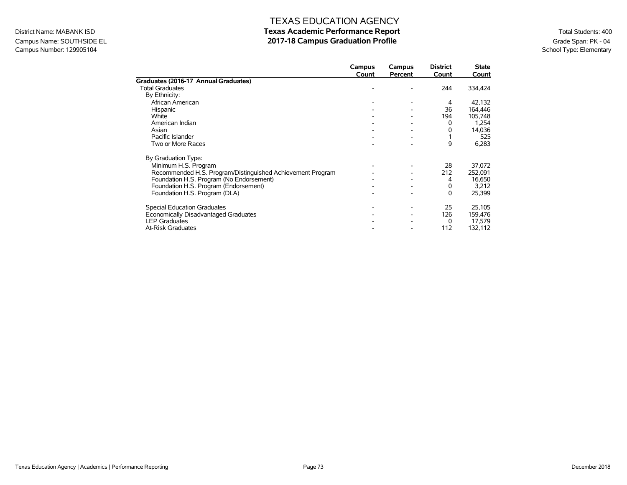### Campus Name: SOUTHSIDE EL **2017-18 Campus Graduation Profile** Grampus Graduation Profile<br>Campus Number: 129905104 School Type: Elementary Campus Number: 129905104

### TEXAS EDUCATION AGENCY

|                                                            | Campus<br>Count | Campus<br>Percent | <b>District</b><br>Count | <b>State</b><br>Count |
|------------------------------------------------------------|-----------------|-------------------|--------------------------|-----------------------|
| Graduates (2016-17 Annual Graduates)                       |                 |                   |                          |                       |
| <b>Total Graduates</b>                                     |                 |                   | 244                      | 334,424               |
| By Ethnicity:                                              |                 |                   |                          |                       |
| African American                                           |                 |                   | 4                        | 42,132                |
| Hispanic                                                   |                 |                   | 36                       | 164,446               |
| White                                                      |                 |                   | 194                      | 105,748               |
| American Indian                                            |                 |                   | 0                        | 1,254                 |
| Asian                                                      |                 |                   | 0                        | 14,036                |
| Pacific Islander                                           |                 |                   |                          | 525                   |
| Two or More Races                                          |                 |                   | 9                        | 6,283                 |
| By Graduation Type:                                        |                 |                   |                          |                       |
| Minimum H.S. Program                                       |                 |                   | 28                       | 37,072                |
| Recommended H.S. Program/Distinguished Achievement Program |                 |                   | 212                      | 252,091               |
| Foundation H.S. Program (No Endorsement)                   |                 |                   | 4                        | 16,650                |
| Foundation H.S. Program (Endorsement)                      |                 |                   | 0                        | 3,212                 |
| Foundation H.S. Program (DLA)                              |                 |                   | 0                        | 25,399                |
| <b>Special Education Graduates</b>                         |                 |                   | 25                       | 25,105                |
| Economically Disadvantaged Graduates                       |                 |                   | 126                      | 159,476               |
| <b>LEP Graduates</b>                                       |                 |                   | 0                        | 17,579                |
| <b>At-Risk Graduates</b>                                   |                 |                   | 112                      | 132,112               |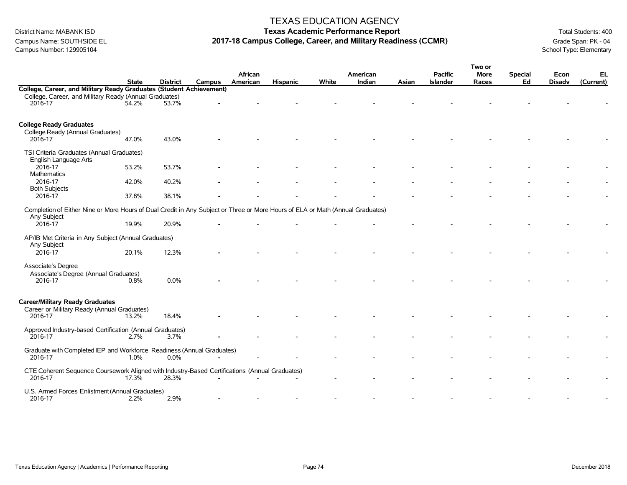Campus Number: 129905104

#### TEXAS EDUCATION AGENCY

### District Name: MABANK ISD **Texas Academic Performance Report Texas Academic Performance Report** Total Students: 400 Campus Name: SOUTHSIDE EL **2017-18 Campus College, Career, and Military Readiness (CCMR)** Grade Span: PK - 04<br>Campus Number: 129905104<br>School Type: Elementary

|                                                                                                                                |              |                 |        |          |                 |       |          |       |                 | Two or |                |               |           |
|--------------------------------------------------------------------------------------------------------------------------------|--------------|-----------------|--------|----------|-----------------|-------|----------|-------|-----------------|--------|----------------|---------------|-----------|
|                                                                                                                                |              |                 |        | African  |                 |       | American |       | <b>Pacific</b>  | More   | <b>Special</b> | Econ          | EL        |
|                                                                                                                                | <b>State</b> | <b>District</b> | Campus | American | <b>Hispanic</b> | White | Indian   | Asian | <b>Islander</b> | Races  | Ed             | <b>Disadv</b> | (Current) |
| College, Career, and Military Ready Graduates (Student Achievement)                                                            |              |                 |        |          |                 |       |          |       |                 |        |                |               |           |
| College, Career, and Military Ready (Annual Graduates)                                                                         |              |                 |        |          |                 |       |          |       |                 |        |                |               |           |
| 2016-17                                                                                                                        | 54.2%        | 53.7%           |        |          |                 |       |          |       |                 |        |                |               |           |
|                                                                                                                                |              |                 |        |          |                 |       |          |       |                 |        |                |               |           |
|                                                                                                                                |              |                 |        |          |                 |       |          |       |                 |        |                |               |           |
| <b>College Ready Graduates</b>                                                                                                 |              |                 |        |          |                 |       |          |       |                 |        |                |               |           |
| College Ready (Annual Graduates)                                                                                               |              |                 |        |          |                 |       |          |       |                 |        |                |               |           |
| 2016-17                                                                                                                        | 47.0%        | 43.0%           |        |          |                 |       |          |       |                 |        |                |               |           |
|                                                                                                                                |              |                 |        |          |                 |       |          |       |                 |        |                |               |           |
| TSI Criteria Graduates (Annual Graduates)                                                                                      |              |                 |        |          |                 |       |          |       |                 |        |                |               |           |
| English Language Arts                                                                                                          |              |                 |        |          |                 |       |          |       |                 |        |                |               |           |
| 2016-17                                                                                                                        | 53.2%        | 53.7%           |        |          |                 |       |          |       |                 |        |                |               |           |
| Mathematics                                                                                                                    |              |                 |        |          |                 |       |          |       |                 |        |                |               |           |
| 2016-17                                                                                                                        | 42.0%        | 40.2%           |        |          |                 |       |          |       |                 |        |                |               |           |
| <b>Both Subjects</b>                                                                                                           |              |                 |        |          |                 |       |          |       |                 |        |                |               |           |
| 2016-17                                                                                                                        | 37.8%        | 38.1%           |        |          |                 |       |          |       |                 |        |                |               |           |
|                                                                                                                                |              |                 |        |          |                 |       |          |       |                 |        |                |               |           |
| Completion of Either Nine or More Hours of Dual Credit in Any Subject or Three or More Hours of ELA or Math (Annual Graduates) |              |                 |        |          |                 |       |          |       |                 |        |                |               |           |
| Any Subject                                                                                                                    |              |                 |        |          |                 |       |          |       |                 |        |                |               |           |
| 2016-17                                                                                                                        | 19.9%        | 20.9%           |        |          |                 |       |          |       |                 |        |                |               |           |
|                                                                                                                                |              |                 |        |          |                 |       |          |       |                 |        |                |               |           |
| AP/IB Met Criteria in Any Subject (Annual Graduates)                                                                           |              |                 |        |          |                 |       |          |       |                 |        |                |               |           |
| Any Subject                                                                                                                    |              |                 |        |          |                 |       |          |       |                 |        |                |               |           |
| 2016-17                                                                                                                        | 20.1%        | 12.3%           |        |          |                 |       |          |       |                 |        |                |               |           |
|                                                                                                                                |              |                 |        |          |                 |       |          |       |                 |        |                |               |           |
| Associate's Degree                                                                                                             |              |                 |        |          |                 |       |          |       |                 |        |                |               |           |
| Associate's Degree (Annual Graduates)                                                                                          |              |                 |        |          |                 |       |          |       |                 |        |                |               |           |
| 2016-17                                                                                                                        | 0.8%         | 0.0%            |        |          |                 |       |          |       |                 |        |                |               |           |
|                                                                                                                                |              |                 |        |          |                 |       |          |       |                 |        |                |               |           |
|                                                                                                                                |              |                 |        |          |                 |       |          |       |                 |        |                |               |           |
| <b>Career/Military Ready Graduates</b>                                                                                         |              |                 |        |          |                 |       |          |       |                 |        |                |               |           |
|                                                                                                                                |              |                 |        |          |                 |       |          |       |                 |        |                |               |           |
| Career or Military Ready (Annual Graduates)<br>2016-17                                                                         |              | 18.4%           |        |          |                 |       |          |       |                 |        |                |               |           |
|                                                                                                                                | 13.2%        |                 |        |          |                 |       |          |       |                 |        |                |               |           |
| Approved Industry-based Certification (Annual Graduates)                                                                       |              |                 |        |          |                 |       |          |       |                 |        |                |               |           |
| 2016-17                                                                                                                        | 2.7%         | 3.7%            |        |          |                 |       |          |       |                 |        |                |               |           |
|                                                                                                                                |              |                 |        |          |                 |       |          |       |                 |        |                |               |           |
| Graduate with Completed IEP and Workforce Readiness (Annual Graduates)                                                         |              |                 |        |          |                 |       |          |       |                 |        |                |               |           |
| 2016-17                                                                                                                        | 1.0%         | 0.0%            |        |          |                 |       |          |       |                 |        |                |               |           |
|                                                                                                                                |              |                 |        |          |                 |       |          |       |                 |        |                |               |           |
| CTE Coherent Sequence Coursework Aligned with Industry-Based Certifications (Annual Graduates)                                 |              |                 |        |          |                 |       |          |       |                 |        |                |               |           |
| 2016-17                                                                                                                        | $17.3\%$     | 28.3%           |        |          |                 |       |          |       |                 |        |                |               |           |
|                                                                                                                                |              |                 |        |          |                 |       |          |       |                 |        |                |               |           |
| U.S. Armed Forces Enlistment (Annual Graduates)                                                                                |              |                 |        |          |                 |       |          |       |                 |        |                |               |           |
| 2016-17                                                                                                                        | 2.2%         | 2.9%            |        |          |                 |       |          |       |                 |        |                |               |           |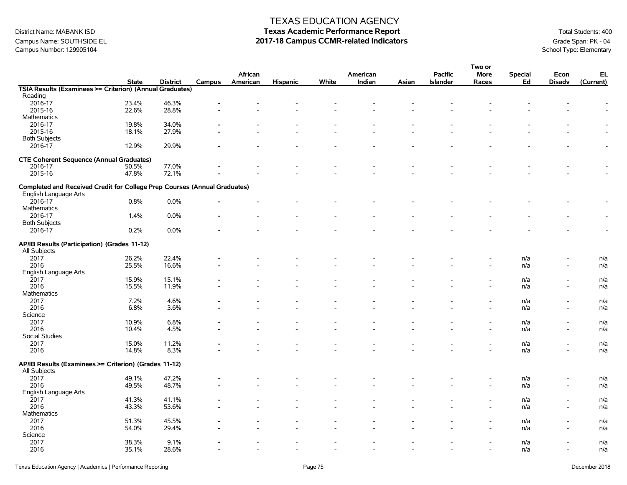### Campus Name: SOUTHSIDE EL **2017-18 Campus CCMR-related Indicators** Grade Span: PK - 04<br>Campus Number: 129905104<br>School Type: Elementary Campus Number: 129905104

#### TEXAS EDUCATION AGENCY

|                                                                           |              |                 |        |                          |                          |                          |          |       |                          | Two or      |                |                          |                          |
|---------------------------------------------------------------------------|--------------|-----------------|--------|--------------------------|--------------------------|--------------------------|----------|-------|--------------------------|-------------|----------------|--------------------------|--------------------------|
|                                                                           |              |                 |        | African                  |                          |                          | American |       | <b>Pacific</b>           | <b>More</b> | <b>Special</b> | Econ                     | EL                       |
|                                                                           | <b>State</b> | <b>District</b> | Campus | American                 | <b>Hispanic</b>          | White                    | Indian   | Asian | Islander                 | Races       | Ed             | <b>Disadv</b>            | (Current)                |
| TSIA Results (Examinees >= Criterion) (Annual Graduates)                  |              |                 |        |                          |                          |                          |          |       |                          |             |                |                          |                          |
| Reading                                                                   |              |                 |        |                          |                          |                          |          |       |                          |             |                |                          |                          |
| 2016-17                                                                   | 23.4%        | 46.3%           |        |                          |                          |                          |          |       |                          |             |                |                          |                          |
| 2015-16                                                                   | 22.6%        | 28.8%           |        |                          |                          |                          |          |       |                          |             |                |                          |                          |
| Mathematics                                                               |              |                 |        |                          |                          |                          |          |       |                          |             |                |                          |                          |
| 2016-17                                                                   | 19.8%        | 34.0%           |        |                          |                          |                          |          |       |                          |             |                |                          |                          |
| 2015-16                                                                   | 18.1%        | 27.9%           |        |                          |                          |                          |          |       |                          |             |                |                          |                          |
| <b>Both Subjects</b>                                                      |              |                 |        |                          |                          |                          |          |       |                          |             |                |                          |                          |
| 2016-17                                                                   | 12.9%        | 29.9%           |        |                          |                          |                          |          |       |                          |             |                |                          | $\overline{\phantom{a}}$ |
|                                                                           |              |                 |        |                          |                          |                          |          |       |                          |             |                |                          |                          |
| <b>CTE Coherent Sequence (Annual Graduates)</b>                           |              |                 |        |                          |                          |                          |          |       |                          |             |                |                          |                          |
| 2016-17                                                                   | 50.5%        | 77.0%           |        |                          |                          |                          |          |       |                          |             |                |                          |                          |
| 2015-16                                                                   | 47.8%        | 72.1%           |        |                          |                          |                          |          |       |                          |             |                |                          |                          |
|                                                                           |              |                 |        |                          |                          |                          |          |       |                          |             |                |                          |                          |
| Completed and Received Credit for College Prep Courses (Annual Graduates) |              |                 |        |                          |                          |                          |          |       |                          |             |                |                          |                          |
| English Language Arts                                                     |              |                 |        |                          |                          |                          |          |       |                          |             |                |                          |                          |
|                                                                           |              |                 |        |                          |                          |                          |          |       |                          |             |                |                          |                          |
| 2016-17                                                                   | 0.8%         | 0.0%            |        |                          |                          |                          |          |       |                          |             |                |                          |                          |
| Mathematics                                                               |              |                 |        |                          |                          |                          |          |       |                          |             |                |                          |                          |
| 2016-17                                                                   | 1.4%         | 0.0%            |        |                          |                          |                          |          |       |                          |             |                |                          | $\blacksquare$           |
| <b>Both Subjects</b>                                                      |              |                 |        |                          |                          |                          |          |       |                          |             |                |                          |                          |
| 2016-17                                                                   | 0.2%         | 0.0%            |        |                          |                          |                          |          |       |                          |             |                |                          |                          |
|                                                                           |              |                 |        |                          |                          |                          |          |       |                          |             |                |                          |                          |
| AP/IB Results (Participation) (Grades 11-12)                              |              |                 |        |                          |                          |                          |          |       |                          |             |                |                          |                          |
| All Subjects                                                              |              |                 |        |                          |                          |                          |          |       |                          |             |                |                          |                          |
| 2017                                                                      | 26.2%        | 22.4%           |        |                          |                          |                          |          |       |                          |             | n/a            |                          | n/a                      |
| 2016                                                                      | 25.5%        | 16.6%           |        |                          |                          |                          |          |       |                          |             | n/a            |                          | n/a                      |
| English Language Arts                                                     |              |                 |        |                          |                          |                          |          |       |                          |             |                |                          |                          |
| 2017                                                                      | 15.9%        | 15.1%           |        |                          |                          |                          |          |       |                          |             | n/a            |                          | n/a                      |
| 2016                                                                      | 15.5%        | 11.9%           |        |                          |                          |                          |          |       |                          |             | n/a            | $\overline{\phantom{a}}$ | n/a                      |
| Mathematics                                                               |              |                 |        |                          |                          |                          |          |       |                          |             |                |                          |                          |
| 2017                                                                      | 7.2%         | 4.6%            |        |                          |                          |                          |          |       |                          |             | n/a            |                          | n/a                      |
| 2016                                                                      | 6.8%         | 3.6%            |        |                          |                          |                          |          |       |                          |             | n/a            | $\overline{\phantom{a}}$ | n/a                      |
|                                                                           |              |                 |        |                          |                          |                          |          |       |                          |             |                |                          |                          |
| Science                                                                   |              |                 |        |                          |                          |                          |          |       |                          |             |                |                          |                          |
| 2017                                                                      | 10.9%        | 6.8%            |        |                          |                          |                          |          |       |                          |             | n/a            |                          | n/a                      |
| 2016                                                                      | 10.4%        | 4.5%            |        |                          |                          |                          |          |       |                          |             | n/a            | $\sim$                   | n/a                      |
| Social Studies                                                            |              |                 |        |                          |                          |                          |          |       |                          |             |                |                          |                          |
| 2017                                                                      | 15.0%        | 11.2%           |        |                          |                          |                          |          |       |                          |             | n/a            |                          | n/a                      |
| 2016                                                                      | 14.8%        | 8.3%            |        |                          |                          |                          |          |       |                          |             | n/a            | $\overline{\phantom{a}}$ | n/a                      |
|                                                                           |              |                 |        |                          |                          |                          |          |       |                          |             |                |                          |                          |
| AP/IB Results (Examinees >= Criterion) (Grades 11-12)                     |              |                 |        |                          |                          |                          |          |       |                          |             |                |                          |                          |
| All Subjects                                                              |              |                 |        |                          |                          |                          |          |       |                          |             |                |                          |                          |
| 2017                                                                      | 49.1%        | 47.2%           |        |                          |                          |                          |          |       |                          |             | n/a            |                          | n/a                      |
| 2016                                                                      | 49.5%        | 48.7%           |        |                          |                          |                          |          |       |                          |             | n/a            |                          | n/a                      |
| English Language Arts                                                     |              |                 |        |                          |                          |                          |          |       |                          |             |                |                          |                          |
| 2017                                                                      | 41.3%        | 41.1%           |        |                          |                          |                          |          |       |                          |             | n/a            | $\overline{\phantom{a}}$ | n/a                      |
| 2016                                                                      | 43.3%        | 53.6%           |        |                          |                          |                          |          |       |                          |             | n/a            | $\overline{\phantom{a}}$ | n/a                      |
| Mathematics                                                               |              |                 |        |                          |                          |                          |          |       |                          |             |                |                          |                          |
| 2017                                                                      | 51.3%        | 45.5%           |        |                          |                          |                          |          |       |                          |             | n/a            |                          | n/a                      |
| 2016                                                                      | 54.0%        | 29.4%           |        |                          |                          |                          |          |       |                          |             | n/a            |                          | n/a                      |
| Science                                                                   |              |                 |        |                          |                          |                          |          |       |                          |             |                |                          |                          |
| 2017                                                                      |              | 9.1%            |        |                          |                          |                          |          |       |                          |             |                |                          |                          |
|                                                                           | 38.3%        |                 |        |                          |                          |                          |          |       |                          |             | n/a            |                          | n/a                      |
| 2016                                                                      | 35.1%        | 28.6%           |        | $\overline{\phantom{a}}$ | $\overline{\phantom{a}}$ | $\overline{\phantom{a}}$ | $\sim$   |       | $\overline{\phantom{a}}$ |             | n/a            | $\overline{\phantom{a}}$ | n/a                      |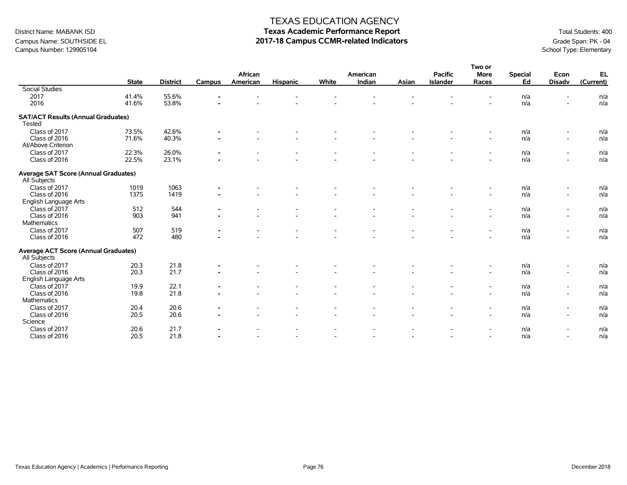### Campus Name: SOUTHSIDE EL **2017-18 Campus CCMR-related Indicators** Grade Span: PK - 04<br>Campus Number: 129905104<br>School Type: Elementary Campus Number: 129905104

#### TEXAS EDUCATION AGENCY

|                                                             |              |                 |                |          |                          |                          |                |       |                 | Two or                   |                |                          |            |
|-------------------------------------------------------------|--------------|-----------------|----------------|----------|--------------------------|--------------------------|----------------|-------|-----------------|--------------------------|----------------|--------------------------|------------|
|                                                             |              |                 |                | African  |                          |                          | American       |       | <b>Pacific</b>  | <b>More</b>              | <b>Special</b> | Econ                     | EL         |
|                                                             | <b>State</b> | <b>District</b> | Campus         | American | <b>Hispanic</b>          | White                    | Indian         | Asian | <b>Islander</b> | Races                    | Ed             | <b>Disadv</b>            | (Current)  |
| <b>Social Studies</b>                                       |              |                 |                |          |                          |                          |                |       |                 |                          |                |                          |            |
| 2017                                                        | 41.4%        | 55.6%           |                |          |                          |                          |                |       |                 |                          | n/a            | ۰                        | n/a        |
| 2016                                                        | 41.6%        | 53.8%           |                |          |                          |                          |                |       |                 |                          | n/a            | ۰                        | n/a        |
| <b>SAT/ACT Results (Annual Graduates)</b>                   |              |                 |                |          |                          |                          |                |       |                 |                          |                |                          |            |
| Tested                                                      |              |                 |                |          |                          |                          |                |       |                 |                          |                |                          |            |
| Class of 2017                                               | 73.5%        | 42.6%           | $\blacksquare$ |          |                          |                          |                |       |                 | $\overline{\phantom{a}}$ | n/a            | $\overline{\phantom{a}}$ | n/a        |
| Class of 2016                                               | 71.6%        | 40.3%           | $\blacksquare$ |          | $\overline{\phantom{a}}$ |                          |                |       |                 | $\overline{\phantom{a}}$ | n/a            | $\overline{\phantom{a}}$ | n/a        |
| At/Above Criterion                                          |              |                 |                |          |                          |                          |                |       |                 |                          |                |                          |            |
| Class of 2017                                               | 22.3%        | 26.0%           | $\blacksquare$ |          |                          |                          |                |       |                 | $\overline{\phantom{a}}$ | n/a            | $\overline{\phantom{a}}$ | n/a        |
| Class of 2016                                               | 22.5%        | 23.1%           |                |          |                          |                          |                |       |                 | $\overline{a}$           | n/a            | $\overline{\phantom{a}}$ | n/a        |
| <b>Average SAT Score (Annual Graduates)</b>                 |              |                 |                |          |                          |                          |                |       |                 |                          |                |                          |            |
| All Subjects                                                |              |                 |                |          |                          |                          |                |       |                 |                          |                |                          |            |
| Class of 2017                                               | 1019         | 1063            |                |          |                          |                          |                |       |                 |                          | n/a            | $\overline{\phantom{a}}$ | n/a        |
| Class of 2016                                               | 1375         | 1419            |                |          |                          |                          |                |       |                 | $\overline{\phantom{a}}$ | n/a            | $\blacksquare$           | n/a        |
| English Language Arts                                       |              |                 |                |          |                          |                          |                |       |                 |                          |                |                          |            |
| Class of 2017                                               | 512          | 544             | $\blacksquare$ |          |                          |                          |                |       |                 | $\overline{\phantom{0}}$ | n/a            | $\overline{\phantom{a}}$ | n/a        |
| Class of 2016                                               | 903          | 941             | $\blacksquare$ |          |                          |                          |                |       |                 | $\overline{\phantom{a}}$ | n/a            | $\blacksquare$           | n/a        |
| Mathematics                                                 |              |                 |                |          |                          |                          |                |       |                 |                          |                |                          |            |
| Class of 2017                                               | 507          | 519             |                |          |                          |                          |                |       |                 | $\overline{\phantom{0}}$ | n/a            | $\overline{\phantom{a}}$ | n/a        |
| Class of 2016                                               | 472          | 480             |                |          |                          |                          |                |       |                 |                          | n/a            | ۰                        | n/a        |
|                                                             |              |                 |                |          |                          |                          |                |       |                 |                          |                |                          |            |
| <b>Average ACT Score (Annual Graduates)</b><br>All Subjects |              |                 |                |          |                          |                          |                |       |                 |                          |                |                          |            |
| Class of 2017                                               | 20.3         | 21.8            | $\blacksquare$ |          |                          |                          |                |       |                 |                          | n/a            | $\overline{\phantom{a}}$ | n/a        |
| Class of 2016                                               | 20.3         | 21.7            |                |          |                          |                          |                |       |                 | $\overline{a}$           | n/a            | $\blacksquare$           | n/a        |
| English Language Arts                                       |              |                 |                |          |                          |                          |                |       |                 |                          |                |                          |            |
| Class of 2017                                               |              |                 |                |          |                          |                          |                |       |                 |                          |                |                          |            |
| Class of 2016                                               | 19.9<br>19.8 | 22.1<br>21.8    | $\blacksquare$ |          |                          |                          |                |       |                 | $\overline{\phantom{a}}$ | n/a<br>n/a     | $\overline{\phantom{a}}$ | n/a<br>n/a |
|                                                             |              |                 |                |          |                          |                          |                |       |                 | $\overline{a}$           |                | $\overline{\phantom{a}}$ |            |
| Mathematics                                                 |              |                 |                |          |                          |                          |                |       |                 |                          |                |                          |            |
| Class of 2017                                               | 20.4         | 20.6            |                |          |                          |                          |                |       |                 | $\overline{\phantom{a}}$ | n/a            | $\overline{\phantom{a}}$ | n/a        |
| Class of 2016                                               | 20.5         | 20.6            |                |          | $\overline{\phantom{a}}$ |                          |                |       |                 | $\sim$                   | n/a            | $\overline{\phantom{a}}$ | n/a        |
| Science                                                     |              |                 |                |          |                          |                          |                |       |                 |                          |                |                          |            |
| Class of 2017                                               | 20.6         | 21.7            | $\blacksquare$ |          |                          |                          |                |       |                 | $\overline{\phantom{0}}$ | n/a            | $\overline{\phantom{a}}$ | n/a        |
| Class of 2016                                               | 20.5         | 21.8            |                |          | $\overline{\phantom{a}}$ | $\overline{\phantom{a}}$ | $\overline{a}$ |       |                 | $\sim$                   | n/a            | $\overline{\phantom{a}}$ | n/a        |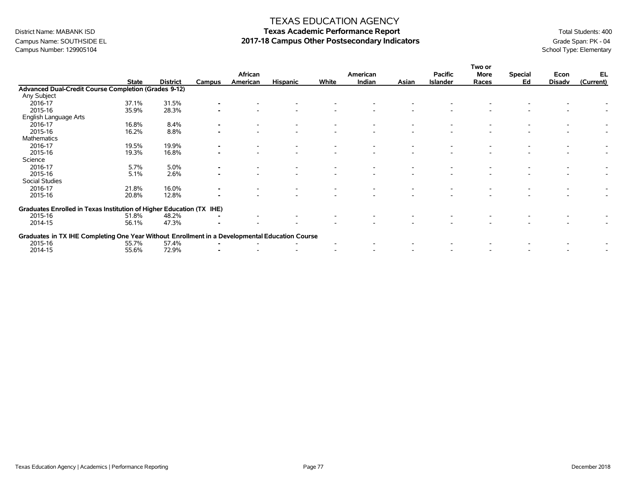### Campus Name: SOUTHSIDE EL **2017-18 Campus Other Postsecondary Indicators** Grade Span: PK - 04<br>Campus Number: 129905104<br>School Type: Elementary Campus Number: 129905104

#### TEXAS EDUCATION AGENCY

|                                                                                                |              |                 |        |          |                 |       |          |       |                 | Two or |                |               |           |
|------------------------------------------------------------------------------------------------|--------------|-----------------|--------|----------|-----------------|-------|----------|-------|-----------------|--------|----------------|---------------|-----------|
|                                                                                                |              |                 |        | African  |                 |       | American |       | <b>Pacific</b>  | More   | <b>Special</b> | Econ          | EL        |
|                                                                                                | <b>State</b> | <b>District</b> | Campus | American | <b>Hispanic</b> | White | Indian   | Asian | <b>Islander</b> | Races  | Ed             | <b>Disadv</b> | (Current) |
| Advanced Dual-Credit Course Completion (Grades 9-12)                                           |              |                 |        |          |                 |       |          |       |                 |        |                |               |           |
| Any Subject                                                                                    |              |                 |        |          |                 |       |          |       |                 |        |                |               |           |
| 2016-17                                                                                        | 37.1%        | 31.5%           |        |          |                 |       |          |       |                 |        |                |               |           |
| 2015-16                                                                                        | 35.9%        | 28.3%           |        |          |                 |       |          |       |                 |        |                |               |           |
| English Language Arts                                                                          |              |                 |        |          |                 |       |          |       |                 |        |                |               |           |
| 2016-17                                                                                        | 16.8%        | 8.4%            |        |          |                 |       |          |       |                 |        |                |               |           |
| 2015-16                                                                                        | 16.2%        | 8.8%            |        |          |                 |       |          |       |                 |        |                |               |           |
| Mathematics                                                                                    |              |                 |        |          |                 |       |          |       |                 |        |                |               |           |
| 2016-17                                                                                        | 19.5%        | 19.9%           |        |          |                 |       |          |       |                 |        |                |               |           |
| 2015-16                                                                                        | 19.3%        | 16.8%           |        |          |                 |       |          |       |                 |        |                |               |           |
| Science                                                                                        |              |                 |        |          |                 |       |          |       |                 |        |                |               |           |
| 2016-17                                                                                        | 5.7%         | 5.0%            |        |          |                 |       |          |       |                 |        |                |               |           |
| 2015-16                                                                                        | 5.1%         | 2.6%            |        |          |                 |       |          |       |                 |        |                |               |           |
| Social Studies                                                                                 |              |                 |        |          |                 |       |          |       |                 |        |                |               |           |
| 2016-17                                                                                        | 21.8%        | 16.0%           |        |          |                 |       |          |       |                 |        |                |               |           |
| 2015-16                                                                                        | 20.8%        | 12.8%           |        |          |                 |       |          |       |                 |        |                |               |           |
| Graduates Enrolled in Texas Institution of Higher Education (TX IHE)                           |              |                 |        |          |                 |       |          |       |                 |        |                |               |           |
| 2015-16                                                                                        | 51.8%        | 48.2%           |        |          |                 |       |          |       |                 |        |                |               |           |
| 2014-15                                                                                        | 56.1%        | 47.3%           |        |          |                 |       |          |       |                 |        |                |               |           |
| Graduates in TX IHE Completing One Year Without Enrollment in a Developmental Education Course |              |                 |        |          |                 |       |          |       |                 |        |                |               |           |
| 2015-16                                                                                        | 55.7%        | 57.4%           |        |          |                 |       |          |       |                 |        |                |               |           |
| 2014-15                                                                                        | 55.6%        | 72.9%           |        |          |                 |       |          |       |                 |        |                |               |           |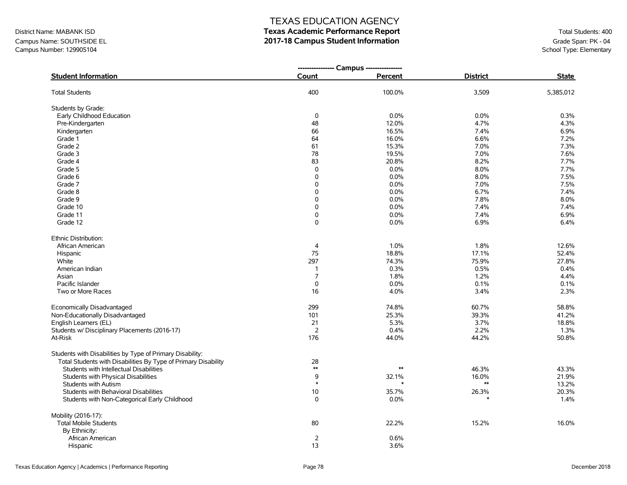### Campus Name: SOUTHSIDE EL **2017-18 Campus Student Information**<br>Campus Number: 129905104<br>School Type: Elementary Campus Number: 129905104

### TEXAS EDUCATION AGENCY

|                                                                | --------------- Campus --------------- |            |                 |              |
|----------------------------------------------------------------|----------------------------------------|------------|-----------------|--------------|
| <b>Student Information</b>                                     | Count                                  | Percent    | <b>District</b> | <b>State</b> |
| <b>Total Students</b>                                          | 400                                    | 100.0%     | 3,509           | 5,385,012    |
| Students by Grade:                                             |                                        |            |                 |              |
| Early Childhood Education                                      | 0                                      | 0.0%       | 0.0%            | 0.3%         |
| Pre-Kindergarten                                               | 48                                     | 12.0%      | 4.7%            | 4.3%         |
| Kindergarten                                                   | 66                                     | 16.5%      | 7.4%            | 6.9%         |
| Grade 1                                                        | 64                                     | 16.0%      | 6.6%            | 7.2%         |
| Grade 2                                                        | 61                                     | 15.3%      | 7.0%            | 7.3%         |
| Grade 3                                                        | 78                                     | 19.5%      | 7.0%            | 7.6%         |
| Grade 4                                                        | 83                                     | 20.8%      | 8.2%            | 7.7%         |
| Grade 5                                                        | 0                                      | 0.0%       | 8.0%            | 7.7%         |
| Grade 6                                                        | 0                                      | 0.0%       | 8.0%            | 7.5%         |
| Grade 7                                                        | 0                                      | 0.0%       | 7.0%            | 7.5%         |
| Grade 8                                                        | 0                                      | 0.0%       | 6.7%            | 7.4%         |
| Grade 9                                                        | 0                                      | 0.0%       | 7.8%            | 8.0%         |
| Grade 10                                                       | 0                                      | 0.0%       | 7.4%            | 7.4%         |
| Grade 11                                                       | 0                                      | 0.0%       | 7.4%            | 6.9%         |
| Grade 12                                                       | 0                                      | 0.0%       | 6.9%            | 6.4%         |
| Ethnic Distribution:                                           |                                        |            |                 |              |
| African American                                               | 4                                      | 1.0%       | 1.8%            | 12.6%        |
| Hispanic                                                       | 75                                     | 18.8%      | 17.1%           | 52.4%        |
| White                                                          | 297                                    | 74.3%      | 75.9%           | 27.8%        |
| American Indian                                                | 1                                      | 0.3%       | 0.5%            | 0.4%         |
| Asian                                                          | $\overline{7}$                         | 1.8%       | 1.2%            | 4.4%         |
| Pacific Islander                                               | 0                                      | 0.0%       | 0.1%            | 0.1%         |
| Two or More Races                                              | 16                                     | 4.0%       | 3.4%            | 2.3%         |
| Economically Disadvantaged                                     | 299                                    | 74.8%      | 60.7%           | 58.8%        |
| Non-Educationally Disadvantaged                                | 101                                    | 25.3%      | 39.3%           | 41.2%        |
| English Learners (EL)                                          | 21                                     | 5.3%       | 3.7%            | 18.8%        |
| Students w/ Disciplinary Placements (2016-17)                  | $\overline{2}$                         | 0.4%       | 2.2%            | 1.3%         |
| At-Risk                                                        | 176                                    | 44.0%      | 44.2%           | 50.8%        |
| Students with Disabilities by Type of Primary Disability:      |                                        |            |                 |              |
| Total Students with Disabilities By Type of Primary Disability | 28                                     |            |                 |              |
| Students with Intellectual Disabilities                        | $\ast\ast$                             | $\ast\ast$ | 46.3%           | 43.3%        |
| Students with Physical Disabilities                            | 9                                      | 32.1%      | 16.0%           | 21.9%        |
| Students with Autism                                           | $\ast$                                 |            | $**$            | 13.2%        |
| Students with Behavioral Disabilities                          | 10                                     | 35.7%      | 26.3%           | 20.3%        |
| Students with Non-Categorical Early Childhood                  | 0                                      | 0.0%       | $\ast$          | 1.4%         |
| Mobility (2016-17):                                            |                                        |            |                 |              |
| <b>Total Mobile Students</b>                                   | 80                                     | 22.2%      | 15.2%           | 16.0%        |
| By Ethnicity:                                                  |                                        |            |                 |              |
| African American                                               | 2                                      | 0.6%       |                 |              |
| Hispanic                                                       | 13                                     | 3.6%       |                 |              |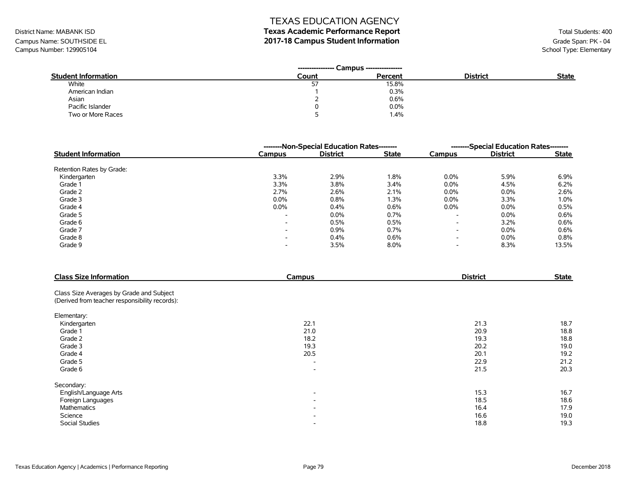# District Name: MABANK ISD **Texas Academic Performance Report Texas Academic Performance Report** Total Students: 400

Campus Name: SOUTHSIDE EL **2017-18 Campus Student Information**<br>Campus Number: 129905104<br>School Type: Elementary Campus Number: 129905104

|                            | Campus ----------------<br>----------------- |         |                 |              |
|----------------------------|----------------------------------------------|---------|-----------------|--------------|
| <b>Student Information</b> | Count                                        | Percent | <b>District</b> | <b>State</b> |
| White                      | ر ب                                          | 15.8%   |                 |              |
| American Indian            |                                              | 0.3%    |                 |              |
| Asian                      |                                              | 0.6%    |                 |              |
| Pacific Islander           |                                              | 0.0%    |                 |              |
| Two or More Races          |                                              | 1.4%    |                 |              |

|                            | --------Non-Special Education Rates-------- | --------Special Education Rates-------- |              |                          |                 |              |
|----------------------------|---------------------------------------------|-----------------------------------------|--------------|--------------------------|-----------------|--------------|
| <b>Student Information</b> | Campus                                      | <b>District</b>                         | <b>State</b> | Campus                   | <b>District</b> | <b>State</b> |
| Retention Rates by Grade:  |                                             |                                         |              |                          |                 |              |
| Kindergarten               | 3.3%                                        | 2.9%                                    | 1.8%         | $0.0\%$                  | 5.9%            | 6.9%         |
| Grade 1                    | 3.3%                                        | 3.8%                                    | 3.4%         | $0.0\%$                  | 4.5%            | 6.2%         |
| Grade 2                    | 2.7%                                        | 2.6%                                    | 2.1%         | $0.0\%$                  | $0.0\%$         | 2.6%         |
| Grade 3                    | $0.0\%$                                     | 0.8%                                    | 1.3%         | $0.0\%$                  | 3.3%            | 1.0%         |
| Grade 4                    | $0.0\%$                                     | 0.4%                                    | 0.6%         | $0.0\%$                  | $0.0\%$         | 0.5%         |
| Grade 5                    | $\overline{\phantom{a}}$                    | 0.0%                                    | $0.7\%$      | $\overline{\phantom{a}}$ | $0.0\%$         | 0.6%         |
| Grade 6                    | $\overline{\phantom{a}}$                    | 0.5%                                    | 0.5%         | $\overline{\phantom{0}}$ | 3.2%            | 0.6%         |
| Grade 7                    | $\overline{\phantom{a}}$                    | 0.9%                                    | 0.7%         | $\overline{\phantom{0}}$ | 0.0%            | 0.6%         |
| Grade 8                    | $\overline{\phantom{0}}$                    | 0.4%                                    | 0.6%         | $\overline{\phantom{a}}$ | $0.0\%$         | 0.8%         |
| Grade 9                    | $\overline{\phantom{a}}$                    | 3.5%                                    | 8.0%         | $\overline{\phantom{a}}$ | 8.3%            | 13.5%        |

| <b>Class Size Information</b>                  | <b>Campus</b>            | <b>District</b> | <b>State</b> |
|------------------------------------------------|--------------------------|-----------------|--------------|
| Class Size Averages by Grade and Subject       |                          |                 |              |
| (Derived from teacher responsibility records): |                          |                 |              |
| Elementary:                                    |                          |                 |              |
| Kindergarten                                   | 22.1                     | 21.3            | 18.7         |
| Grade 1                                        | 21.0                     | 20.9            | 18.8         |
| Grade 2                                        | 18.2                     | 19.3            | 18.8         |
| Grade 3                                        | 19.3                     | 20.2            | 19.0         |
| Grade 4                                        | 20.5                     | 20.1            | 19.2         |
| Grade 5                                        | $\overline{\phantom{a}}$ | 22.9            | 21.2         |
| Grade 6                                        | $\overline{\phantom{a}}$ | 21.5            | 20.3         |
| Secondary:                                     |                          |                 |              |
| English/Language Arts                          | $\overline{\phantom{a}}$ | 15.3            | 16.7         |
| Foreign Languages                              | $\overline{\phantom{a}}$ | 18.5            | 18.6         |
| <b>Mathematics</b>                             | $\overline{\phantom{a}}$ | 16.4            | 17.9         |
| Science                                        | $\overline{\phantom{0}}$ | 16.6            | 19.0         |
| <b>Social Studies</b>                          | $\overline{\phantom{0}}$ | 18.8            | 19.3         |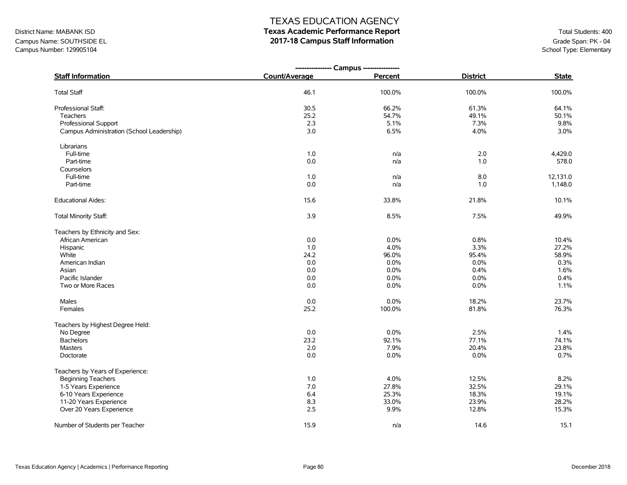## District Name: MABANK ISD **Texas Academic Performance Report Texas Academic Performance Report** Total Students: 400

Campus Name: SOUTHSIDE EL **2017-18 Campus Staff Information**<br>Campus Number: 129905104 School Type: Elementary Campus Number: 129905104

|                                           | ---------------- Campus ---------------- |         |                 |              |
|-------------------------------------------|------------------------------------------|---------|-----------------|--------------|
| <b>Staff Information</b>                  | Count/Average                            | Percent | <b>District</b> | <b>State</b> |
| <b>Total Staff</b>                        | 46.1                                     | 100.0%  | 100.0%          | 100.0%       |
| Professional Staff:                       | 30.5                                     | 66.2%   | 61.3%           | 64.1%        |
| Teachers                                  | 25.2                                     | 54.7%   | 49.1%           | 50.1%        |
| <b>Professional Support</b>               | 2.3                                      | 5.1%    | 7.3%            | 9.8%         |
| Campus Administration (School Leadership) | 3.0                                      | 6.5%    | 4.0%            | 3.0%         |
| Librarians                                |                                          |         |                 |              |
| Full-time                                 | 1.0                                      | n/a     | 2.0             | 4,429.0      |
| Part-time                                 | $0.0\,$                                  | n/a     | 1.0             | 578.0        |
| Counselors                                |                                          |         |                 |              |
| Full-time                                 | 1.0                                      | n/a     | 8.0             | 12,131.0     |
| Part-time                                 | 0.0                                      | n/a     | 1.0             | 1,148.0      |
| <b>Educational Aides:</b>                 | 15.6                                     | 33.8%   | 21.8%           | 10.1%        |
| Total Minority Staff:                     | 3.9                                      | 8.5%    | 7.5%            | 49.9%        |
| Teachers by Ethnicity and Sex:            |                                          |         |                 |              |
| African American                          | 0.0                                      | 0.0%    | 0.8%            | 10.4%        |
| Hispanic                                  | 1.0                                      | 4.0%    | 3.3%            | 27.2%        |
| White                                     | 24.2                                     | 96.0%   | 95.4%           | 58.9%        |
| American Indian                           | 0.0                                      | 0.0%    | 0.0%            | 0.3%         |
| Asian                                     | 0.0                                      | 0.0%    | 0.4%            | 1.6%         |
| Pacific Islander                          | 0.0                                      | 0.0%    | 0.0%            | 0.4%         |
| Two or More Races                         | 0.0                                      | 0.0%    | 0.0%            | 1.1%         |
| Males                                     | 0.0                                      | 0.0%    | 18.2%           | 23.7%        |
| Females                                   | 25.2                                     | 100.0%  | 81.8%           | 76.3%        |
| Teachers by Highest Degree Held:          |                                          |         |                 |              |
| No Degree                                 | 0.0                                      | 0.0%    | 2.5%            | 1.4%         |
| <b>Bachelors</b>                          | 23.2                                     | 92.1%   | 77.1%           | 74.1%        |
| <b>Masters</b>                            | 2.0                                      | 7.9%    | 20.4%           | 23.8%        |
| Doctorate                                 | 0.0                                      | $0.0\%$ | $0.0\%$         | 0.7%         |
| Teachers by Years of Experience:          |                                          |         |                 |              |
| <b>Beginning Teachers</b>                 | 1.0                                      | 4.0%    | 12.5%           | 8.2%         |
| 1-5 Years Experience                      | 7.0                                      | 27.8%   | 32.5%           | 29.1%        |
| 6-10 Years Experience                     | 6.4                                      | 25.3%   | 18.3%           | 19.1%        |
| 11-20 Years Experience                    | 8.3                                      | 33.0%   | 23.9%           | 28.2%        |
| Over 20 Years Experience                  | 2.5                                      | 9.9%    | 12.8%           | 15.3%        |
| Number of Students per Teacher            | 15.9                                     | n/a     | 14.6            | 15.1         |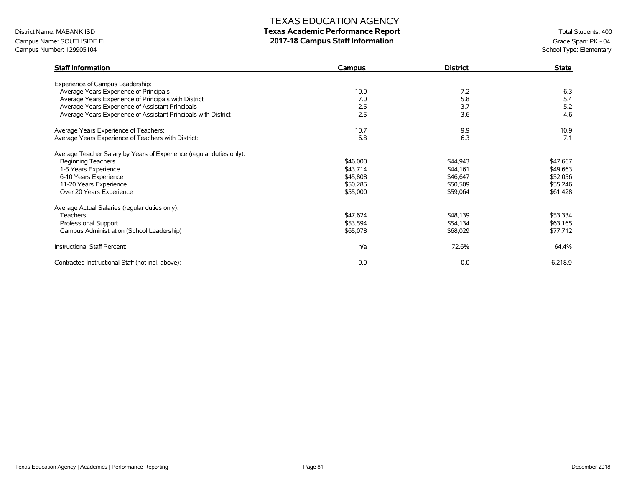### District Name: MABANK ISD **Texas Academic Performance Report Texas Academic Performance Report** Total Students: 400

Campus Name: SOUTHSIDE EL **2017-18 Campus Staff Information**<br>Campus Number: 129905104 School Type: Elementary Campus Number: 129905104

| <b>Staff Information</b>                                             | Campus   | <b>District</b> | <b>State</b> |
|----------------------------------------------------------------------|----------|-----------------|--------------|
| Experience of Campus Leadership:                                     |          |                 |              |
| Average Years Experience of Principals                               | 10.0     | 7.2             | 6.3          |
| Average Years Experience of Principals with District                 | 7.0      | 5.8             | 5.4          |
| Average Years Experience of Assistant Principals                     | 2.5      | 3.7             | 5.2          |
| Average Years Experience of Assistant Principals with District       | 2.5      | 3.6             | 4.6          |
| Average Years Experience of Teachers:                                | 10.7     | 9.9             | 10.9         |
| Average Years Experience of Teachers with District:                  | 6.8      | 6.3             | 7.1          |
| Average Teacher Salary by Years of Experience (regular duties only): |          |                 |              |
| <b>Beginning Teachers</b>                                            | \$46,000 | \$44,943        | \$47,667     |
| 1-5 Years Experience                                                 | \$43,714 | \$44,161        | \$49,663     |
| 6-10 Years Experience                                                | \$45,808 | \$46,647        | \$52,056     |
| 11-20 Years Experience                                               | \$50,285 | \$50,509        | \$55,246     |
| Over 20 Years Experience                                             | \$55,000 | \$59,064        | \$61,428     |
| Average Actual Salaries (regular duties only):                       |          |                 |              |
| <b>Teachers</b>                                                      | \$47,624 | \$48,139        | \$53,334     |
| Professional Support                                                 | \$53,594 | \$54,134        | \$63,165     |
| Campus Administration (School Leadership)                            | \$65,078 | \$68,029        | \$77,712     |
| Instructional Staff Percent:                                         | n/a      | 72.6%           | 64.4%        |
| Contracted Instructional Staff (not incl. above):                    | 0.0      | 0.0             | 6,218.9      |